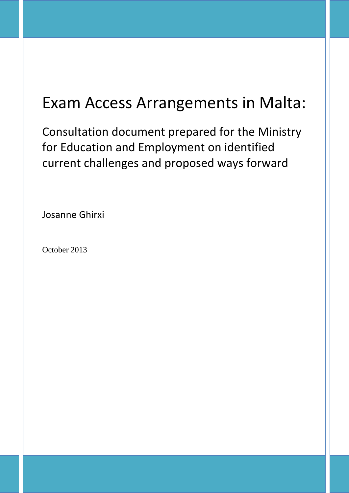# Exam Access Arrangements in Malta:

Consultation document prepared for the Ministry for Education and Employment on identified current challenges and proposed ways forward

Josanne Ghirxi

October 2013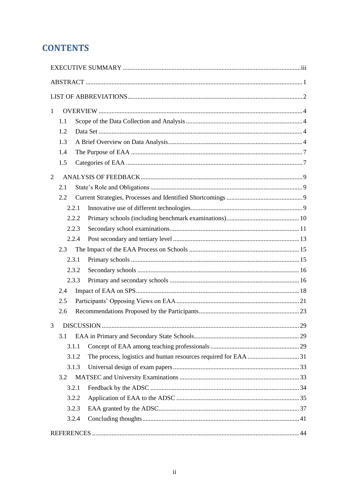# **CONTENTS**

| $\mathbf{1}$ |            |       |  |
|--------------|------------|-------|--|
|              | 1.1        |       |  |
|              | 1.2<br>1.3 |       |  |
|              | 1.4        |       |  |
|              | 1.5        |       |  |
|              |            |       |  |
| 2            |            |       |  |
|              | 2.1        |       |  |
|              | 2.2        |       |  |
|              |            | 2.2.1 |  |
|              |            | 2.2.2 |  |
|              |            | 2.2.3 |  |
|              |            | 2.2.4 |  |
|              | 2.3        |       |  |
|              |            | 2.3.1 |  |
|              |            | 2.3.2 |  |
|              |            | 2.3.3 |  |
|              | 2.4        |       |  |
|              | 2.5        |       |  |
|              | 2.6        |       |  |
|              |            |       |  |
|              | 3.1        |       |  |
|              |            | 3.1.1 |  |
|              |            | 3.1.2 |  |
|              |            | 3.1.3 |  |
|              | 3.2        |       |  |
|              |            | 3.2.1 |  |
|              |            | 3.2.2 |  |
|              |            | 3.2.3 |  |
|              |            | 3.2.4 |  |
|              |            |       |  |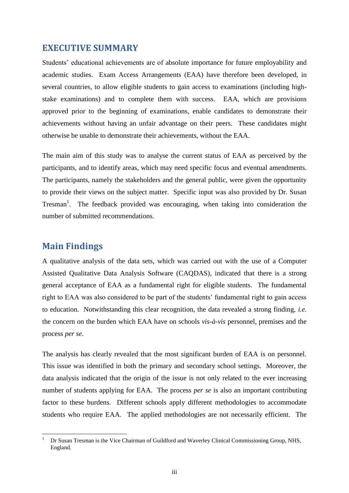## <span id="page-2-0"></span>**EXECUTIVE SUMMARY**

Students' educational achievements are of absolute importance for future employability and academic studies. Exam Access Arrangements (EAA) have therefore been developed, in several countries, to allow eligible students to gain access to examinations (including highstake examinations) and to complete them with success. EAA, which are provisions approved prior to the beginning of examinations, enable candidates to demonstrate their achievements without having an unfair advantage on their peers. These candidates might otherwise be unable to demonstrate their achievements, without the EAA.

The main aim of this study was to analyse the current status of EAA as perceived by the participants, and to identify areas, which may need specific focus and eventual amendments. The participants, namely the stakeholders and the general public, were given the opportunity to provide their views on the subject matter. Specific input was also provided by Dr. Susan Tresman<sup>1</sup>. The feedback provided was encouraging, when taking into consideration the number of submitted recommendations.

# **Main Findings**

1

A qualitative analysis of the data sets, which was carried out with the use of a Computer Assisted Qualitative Data Analysis Software (CAQDAS), indicated that there is a strong general acceptance of EAA as a fundamental right for eligible students. The fundamental right to EAA was also considered to be part of the students' fundamental right to gain access to education. Notwithstanding this clear recognition, the data revealed a strong finding, *i.e.* the concern on the burden which EAA have on schools *vis-à-vis* personnel, premises and the process *per se*.

The analysis has clearly revealed that the most significant burden of EAA is on personnel. This issue was identified in both the primary and secondary school settings. Moreover, the data analysis indicated that the origin of the issue is not only related to the ever increasing number of students applying for EAA. The process *per se* is also an important contributing factor to these burdens. Different schools apply different methodologies to accommodate students who require EAA. The applied methodologies are not necessarily efficient. The

<sup>1</sup> Dr Susan Tresman is the Vice Chairman of Guildford and Waverley Clinical Commissioning Group, NHS, England.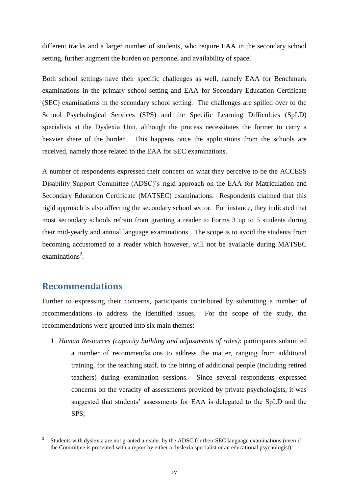different tracks and a larger number of students, who require EAA in the secondary school setting, further augment the burden on personnel and availability of space.

Both school settings have their specific challenges as well, namely EAA for Benchmark examinations in the primary school setting and EAA for Secondary Education Certificate (SEC) examinations in the secondary school setting. The challenges are spilled over to the School Psychological Services (SPS) and the Specific Learning Difficulties (SpLD) specialists at the Dyslexia Unit, although the process necessitates the former to carry a heavier share of the burden. This happens once the applications from the schools are received, namely those related to the EAA for SEC examinations.

A number of respondents expressed their concern on what they perceive to be the ACCESS Disability Support Committee (ADSC)"s rigid approach on the EAA for Matriculation and Secondary Education Certificate (MATSEC) examinations. Respondents claimed that this rigid approach is also affecting the secondary school sector. For instance, they indicated that most secondary schools refrain from granting a reader to Forms 3 up to 5 students during their mid-yearly and annual language examinations. The scope is to avoid the students from becoming accustomed to a reader which however, will not be available during MATSEC examinations<sup>2</sup>.

# **Recommendations**

1

Further to expressing their concerns, participants contributed by submitting a number of recommendations to address the identified issues. For the scope of the study, the recommendations were grouped into six main themes:

1 *Human Resources (capacity building and adjustments of roles)*: participants submitted a number of recommendations to address the matter, ranging from additional training, for the teaching staff, to the hiring of additional people (including retired teachers) during examination sessions. Since several respondents expressed concerns on the veracity of assessments provided by private psychologists, it was suggested that students' assessments for EAA is delegated to the SpLD and the SPS;

<sup>2</sup> Students with dyslexia are not granted a reader by the ADSC for their SEC language examinations (even if the Committee is presented with a report by either a dyslexia specialist or an educational psychologist).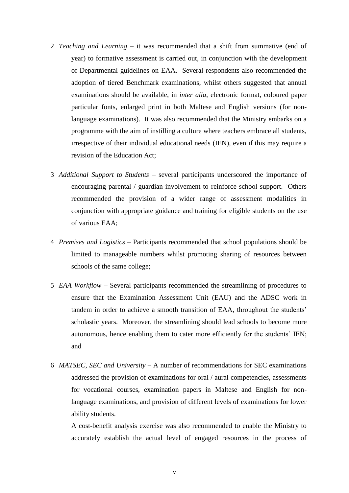- 2 *Teaching and Learning* it was recommended that a shift from summative (end of year) to formative assessment is carried out, in conjunction with the development of Departmental guidelines on EAA. Several respondents also recommended the adoption of tiered Benchmark examinations, whilst others suggested that annual examinations should be available, in *inter alia*, electronic format, coloured paper particular fonts, enlarged print in both Maltese and English versions (for nonlanguage examinations). It was also recommended that the Ministry embarks on a programme with the aim of instilling a culture where teachers embrace all students, irrespective of their individual educational needs (IEN), even if this may require a revision of the Education Act;
- 3 *Additional Support to Students* several participants underscored the importance of encouraging parental / guardian involvement to reinforce school support. Others recommended the provision of a wider range of assessment modalities in conjunction with appropriate guidance and training for eligible students on the use of various EAA;
- 4 *Premises and Logistics* Participants recommended that school populations should be limited to manageable numbers whilst promoting sharing of resources between schools of the same college;
- 5 *EAA Workflow* Several participants recommended the streamlining of procedures to ensure that the Examination Assessment Unit (EAU) and the ADSC work in tandem in order to achieve a smooth transition of EAA, throughout the students" scholastic years. Moreover, the streamlining should lead schools to become more autonomous, hence enabling them to cater more efficiently for the students' IEN; and
- 6 *MATSEC, SEC and University* A number of recommendations for SEC examinations addressed the provision of examinations for oral / aural competencies, assessments for vocational courses, examination papers in Maltese and English for nonlanguage examinations, and provision of different levels of examinations for lower ability students.

A cost-benefit analysis exercise was also recommended to enable the Ministry to accurately establish the actual level of engaged resources in the process of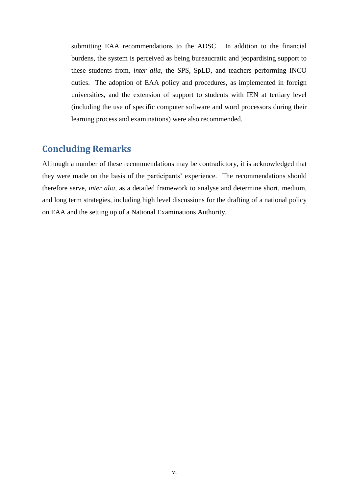submitting EAA recommendations to the ADSC. In addition to the financial burdens, the system is perceived as being bureaucratic and jeopardising support to these students from, *inter alia,* the SPS, SpLD, and teachers performing INCO duties. The adoption of EAA policy and procedures, as implemented in foreign universities, and the extension of support to students with IEN at tertiary level (including the use of specific computer software and word processors during their learning process and examinations) were also recommended.

# **Concluding Remarks**

Although a number of these recommendations may be contradictory, it is acknowledged that they were made on the basis of the participants" experience. The recommendations should therefore serve, *inter alia,* as a detailed framework to analyse and determine short, medium, and long term strategies, including high level discussions for the drafting of a national policy on EAA and the setting up of a National Examinations Authority.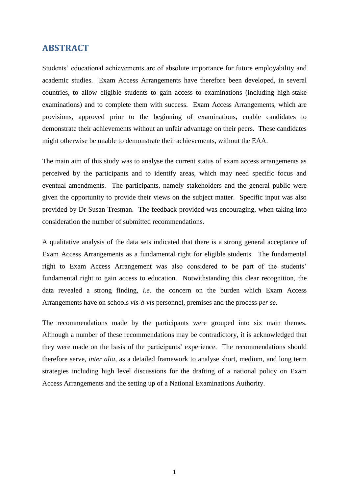## <span id="page-6-0"></span>**ABSTRACT**

Students' educational achievements are of absolute importance for future employability and academic studies. Exam Access Arrangements have therefore been developed, in several countries, to allow eligible students to gain access to examinations (including high-stake examinations) and to complete them with success. Exam Access Arrangements, which are provisions, approved prior to the beginning of examinations, enable candidates to demonstrate their achievements without an unfair advantage on their peers. These candidates might otherwise be unable to demonstrate their achievements, without the EAA.

The main aim of this study was to analyse the current status of exam access arrangements as perceived by the participants and to identify areas, which may need specific focus and eventual amendments. The participants, namely stakeholders and the general public were given the opportunity to provide their views on the subject matter. Specific input was also provided by Dr Susan Tresman. The feedback provided was encouraging, when taking into consideration the number of submitted recommendations.

A qualitative analysis of the data sets indicated that there is a strong general acceptance of Exam Access Arrangements as a fundamental right for eligible students. The fundamental right to Exam Access Arrangement was also considered to be part of the students" fundamental right to gain access to education. Notwithstanding this clear recognition, the data revealed a strong finding, *i.e.* the concern on the burden which Exam Access Arrangements have on schools *vis-à-vis* personnel, premises and the process *per se*.

The recommendations made by the participants were grouped into six main themes. Although a number of these recommendations may be contradictory, it is acknowledged that they were made on the basis of the participants" experience. The recommendations should therefore serve, *inter alia,* as a detailed framework to analyse short, medium, and long term strategies including high level discussions for the drafting of a national policy on Exam Access Arrangements and the setting up of a National Examinations Authority.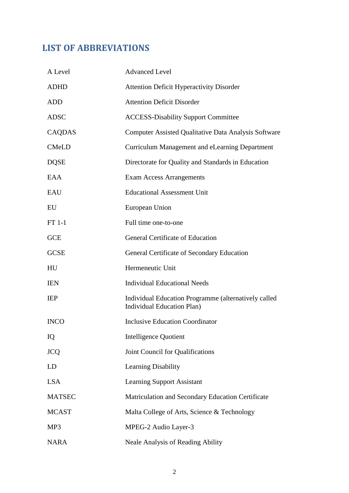# <span id="page-7-0"></span>**LIST OF ABBREVIATIONS**

| A Level       | <b>Advanced Level</b>                                                                     |
|---------------|-------------------------------------------------------------------------------------------|
| <b>ADHD</b>   | <b>Attention Deficit Hyperactivity Disorder</b>                                           |
| <b>ADD</b>    | <b>Attention Deficit Disorder</b>                                                         |
| <b>ADSC</b>   | <b>ACCESS-Disability Support Committee</b>                                                |
| CAQDAS        | Computer Assisted Qualitative Data Analysis Software                                      |
| <b>CMeLD</b>  | Curriculum Management and eLearning Department                                            |
| <b>DQSE</b>   | Directorate for Quality and Standards in Education                                        |
| EAA           | <b>Exam Access Arrangements</b>                                                           |
| EAU           | <b>Educational Assessment Unit</b>                                                        |
| EU            | European Union                                                                            |
| $FT 1-1$      | Full time one-to-one                                                                      |
| <b>GCE</b>    | General Certificate of Education                                                          |
| <b>GCSE</b>   | General Certificate of Secondary Education                                                |
| HU            | Hermeneutic Unit                                                                          |
| <b>IEN</b>    | <b>Individual Educational Needs</b>                                                       |
| <b>IEP</b>    | Individual Education Programme (alternatively called<br><b>Individual Education Plan)</b> |
| <b>INCO</b>   | <b>Inclusive Education Coordinator</b>                                                    |
| IQ            | <b>Intelligence Quotient</b>                                                              |
| <b>JCQ</b>    | Joint Council for Qualifications                                                          |
| LD            | Learning Disability                                                                       |
| <b>LSA</b>    | <b>Learning Support Assistant</b>                                                         |
| <b>MATSEC</b> | Matriculation and Secondary Education Certificate                                         |
| <b>MCAST</b>  | Malta College of Arts, Science & Technology                                               |
| MP3           | MPEG-2 Audio Layer-3                                                                      |
| <b>NARA</b>   | <b>Neale Analysis of Reading Ability</b>                                                  |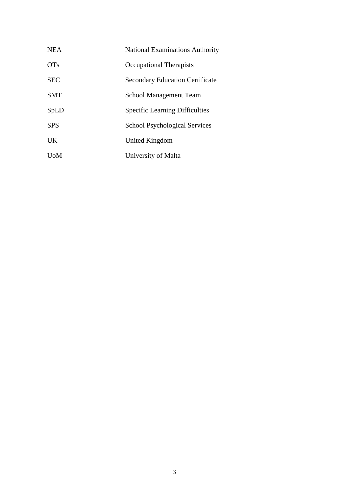| <b>NEA</b>  | <b>National Examinations Authority</b> |
|-------------|----------------------------------------|
| <b>OTs</b>  | Occupational Therapists                |
| <b>SEC</b>  | <b>Secondary Education Certificate</b> |
| SMT         | <b>School Management Team</b>          |
| SpLD        | <b>Specific Learning Difficulties</b>  |
| <b>SPS</b>  | <b>School Psychological Services</b>   |
| <b>UK</b>   | United Kingdom                         |
| <b>U</b> oM | University of Malta                    |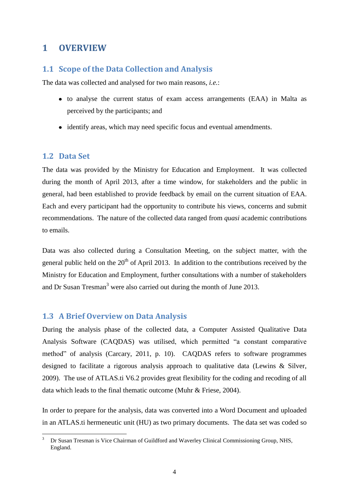## <span id="page-9-0"></span>**1 OVERVIEW**

#### <span id="page-9-1"></span>**1.1 Scope of the Data Collection and Analysis**

The data was collected and analysed for two main reasons, *i.e.*:

- to analyse the current status of exam access arrangements (EAA) in Malta as perceived by the participants; and
- identify areas, which may need specific focus and eventual amendments.

#### <span id="page-9-2"></span>**1.2 Data Set**

1

The data was provided by the Ministry for Education and Employment. It was collected during the month of April 2013, after a time window, for stakeholders and the public in general, had been established to provide feedback by email on the current situation of EAA. Each and every participant had the opportunity to contribute his views, concerns and submit recommendations. The nature of the collected data ranged from *quasi* academic contributions to emails.

Data was also collected during a Consultation Meeting, on the subject matter, with the general public held on the  $20<sup>th</sup>$  of April 2013. In addition to the contributions received by the Ministry for Education and Employment, further consultations with a number of stakeholders and Dr Susan Tresman<sup>3</sup> were also carried out during the month of June 2013.

#### <span id="page-9-3"></span>**1.3 A Brief Overview on Data Analysis**

During the analysis phase of the collected data, a Computer Assisted Qualitative Data Analysis Software (CAQDAS) was utilised, which permitted "a constant comparative method" of analysis (Carcary, 2011, p. 10). CAQDAS refers to software programmes designed to facilitate a rigorous analysis approach to qualitative data (Lewins & Silver, 2009). The use of ATLAS.ti V6.2 provides great flexibility for the coding and recoding of all data which leads to the final thematic outcome (Muhr & Friese, 2004).

In order to prepare for the analysis, data was converted into a Word Document and uploaded in an ATLAS.ti hermeneutic unit (HU) as two primary documents. The data set was coded so

<sup>3</sup> Dr Susan Tresman is Vice Chairman of Guildford and Waverley Clinical Commissioning Group, NHS, England.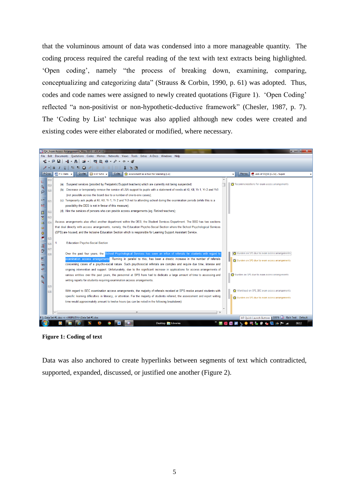that the voluminous amount of data was condensed into a more manageable quantity. The coding process required the careful reading of the text with text extracts being highlighted. "Open coding", namely "the process of breaking down, examining, comparing, conceptualizing and categorizing data" (Strauss & Corbin, 1990, p. 61) was adopted. Thus, codes and code names were assigned to newly created quotations (Figure 1). "Open Coding" reflected "a non-positivist or non-hypothetic-deductive framework" (Chesler, 1987, p. 7). The "Coding by List" technique was also applied although new codes were created and existing codes were either elaborated or modified, where necessary.



**Figure 1: Coding of text**

Data was also anchored to create hyperlinks between segments of text which contradicted, supported, expanded, discussed, or justified one another (Figure 2).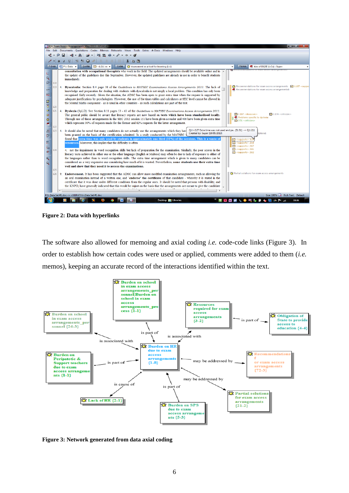

**Figure 2: Data with hyperlinks**

The software also allowed for memoing and axial coding *i.e.* code-code links (Figure 3). In order to establish how certain codes were used or applied, comments were added to them (*i.e.* memos), keeping an accurate record of the interactions identified within the text.



**Figure 3: Network generated from data axial coding**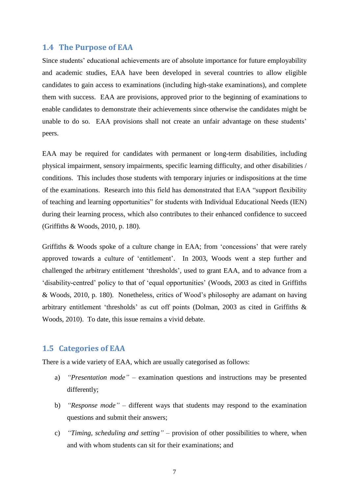#### <span id="page-12-0"></span>**1.4 The Purpose of EAA**

Since students" educational achievements are of absolute importance for future employability and academic studies, EAA have been developed in several countries to allow eligible candidates to gain access to examinations (including high-stake examinations), and complete them with success. EAA are provisions, approved prior to the beginning of examinations to enable candidates to demonstrate their achievements since otherwise the candidates might be unable to do so. EAA provisions shall not create an unfair advantage on these students" peers.

EAA may be required for candidates with permanent or long-term disabilities, including physical impairment, sensory impairments, specific learning difficulty, and other disabilities / conditions. This includes those students with temporary injuries or indispositions at the time of the examinations. Research into this field has demonstrated that EAA "support flexibility of teaching and learning opportunities" for students with Individual Educational Needs (IEN) during their learning process, which also contributes to their enhanced confidence to succeed (Griffiths & Woods, 2010, p. 180).

Griffiths & Woods spoke of a culture change in EAA; from 'concessions' that were rarely approved towards a culture of "entitlement". In 2003, Woods went a step further and challenged the arbitrary entitlement "thresholds", used to grant EAA, and to advance from a "disability-centred" policy to that of "equal opportunities" (Woods, 2003 as cited in Griffiths & Woods, 2010, p. 180). Nonetheless, critics of Wood"s philosophy are adamant on having arbitrary entitlement "thresholds" as cut off points (Dolman, 2003 as cited in Griffiths & Woods, 2010). To date, this issue remains a vivid debate.

#### <span id="page-12-1"></span>**1.5 Categories of EAA**

There is a wide variety of EAA, which are usually categorised as follows:

- a) *"Presentation mode"* examination questions and instructions may be presented differently;
- b) *"Response mode"* different ways that students may respond to the examination questions and submit their answers;
- c) *"Timing, scheduling and setting"* provision of other possibilities to where, when and with whom students can sit for their examinations; and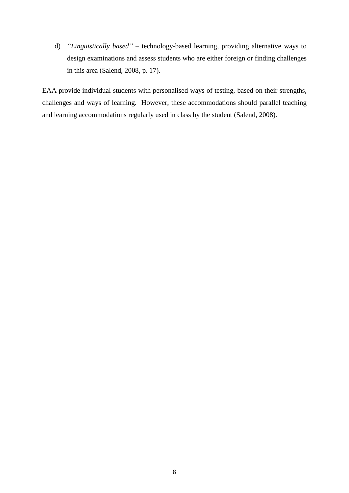d) *"Linguistically based"* – technology-based learning, providing alternative ways to design examinations and assess students who are either foreign or finding challenges in this area (Salend, 2008, p. 17).

EAA provide individual students with personalised ways of testing, based on their strengths, challenges and ways of learning. However, these accommodations should parallel teaching and learning accommodations regularly used in class by the student (Salend, 2008).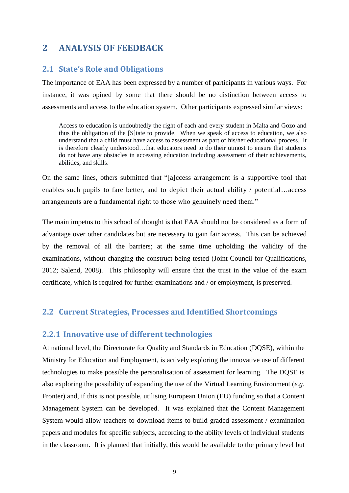# <span id="page-14-0"></span>**2 ANALYSIS OF FEEDBACK**

## <span id="page-14-1"></span>**2.1 State's Role and Obligations**

The importance of EAA has been expressed by a number of participants in various ways. For instance, it was opined by some that there should be no distinction between access to assessments and access to the education system. Other participants expressed similar views:

Access to education is undoubtedly the right of each and every student in Malta and Gozo and thus the obligation of the [S]tate to provide. When we speak of access to education, we also understand that a child must have access to assessment as part of his/her educational process. It is therefore clearly understood…that educators need to do their utmost to ensure that students do not have any obstacles in accessing education including assessment of their achievements, abilities, and skills.

On the same lines, others submitted that "[a]ccess arrangement is a supportive tool that enables such pupils to fare better, and to depict their actual ability / potential…access arrangements are a fundamental right to those who genuinely need them."

The main impetus to this school of thought is that EAA should not be considered as a form of advantage over other candidates but are necessary to gain fair access. This can be achieved by the removal of all the barriers; at the same time upholding the validity of the examinations, without changing the construct being tested (Joint Council for Qualifications, 2012; Salend, 2008). This philosophy will ensure that the trust in the value of the exam certificate, which is required for further examinations and / or employment, is preserved.

## <span id="page-14-2"></span>**2.2 Current Strategies, Processes and Identified Shortcomings**

### <span id="page-14-3"></span>**2.2.1 Innovative use of different technologies**

At national level, the Directorate for Quality and Standards in Education (DQSE), within the Ministry for Education and Employment, is actively exploring the innovative use of different technologies to make possible the personalisation of assessment for learning. The DQSE is also exploring the possibility of expanding the use of the Virtual Learning Environment (*e.g*. Fronter) and, if this is not possible, utilising European Union (EU) funding so that a Content Management System can be developed. It was explained that the Content Management System would allow teachers to download items to build graded assessment / examination papers and modules for specific subjects, according to the ability levels of individual students in the classroom. It is planned that initially, this would be available to the primary level but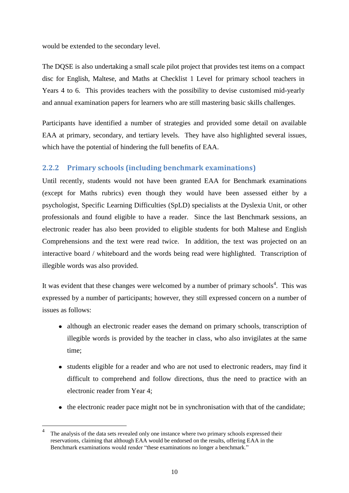would be extended to the secondary level.

The DQSE is also undertaking a small scale pilot project that provides test items on a compact disc for English, Maltese, and Maths at Checklist 1 Level for primary school teachers in Years 4 to 6. This provides teachers with the possibility to devise customised mid-yearly and annual examination papers for learners who are still mastering basic skills challenges.

Participants have identified a number of strategies and provided some detail on available EAA at primary, secondary, and tertiary levels. They have also highlighted several issues, which have the potential of hindering the full benefits of EAA.

## <span id="page-15-0"></span>**2.2.2 Primary schools (including benchmark examinations)**

Until recently, students would not have been granted EAA for Benchmark examinations (except for Maths rubrics) even though they would have been assessed either by a psychologist, Specific Learning Difficulties (SpLD) specialists at the Dyslexia Unit, or other professionals and found eligible to have a reader. Since the last Benchmark sessions, an electronic reader has also been provided to eligible students for both Maltese and English Comprehensions and the text were read twice. In addition, the text was projected on an interactive board / whiteboard and the words being read were highlighted. Transcription of illegible words was also provided.

It was evident that these changes were welcomed by a number of primary schools<sup>4</sup>. This was expressed by a number of participants; however, they still expressed concern on a number of issues as follows:

- although an electronic reader eases the demand on primary schools, transcription of illegible words is provided by the teacher in class, who also invigilates at the same time;
- students eligible for a reader and who are not used to electronic readers, may find it difficult to comprehend and follow directions, thus the need to practice with an electronic reader from Year 4;
- $\bullet$  the electronic reader pace might not be in synchronisation with that of the candidate;

<u>.</u>

<sup>4</sup> The analysis of the data sets revealed only one instance where two primary schools expressed their reservations, claiming that although EAA would be endorsed on the results, offering EAA in the Benchmark examinations would render "these examinations no longer a benchmark."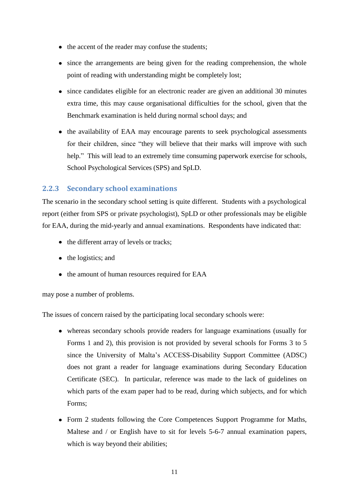- the accent of the reader may confuse the students;
- since the arrangements are being given for the reading comprehension, the whole point of reading with understanding might be completely lost;
- since candidates eligible for an electronic reader are given an additional 30 minutes extra time, this may cause organisational difficulties for the school, given that the Benchmark examination is held during normal school days; and
- the availability of EAA may encourage parents to seek psychological assessments for their children, since "they will believe that their marks will improve with such help." This will lead to an extremely time consuming paperwork exercise for schools, School Psychological Services (SPS) and SpLD.

## <span id="page-16-0"></span>**2.2.3 Secondary school examinations**

The scenario in the secondary school setting is quite different. Students with a psychological report (either from SPS or private psychologist), SpLD or other professionals may be eligible for EAA, during the mid-yearly and annual examinations. Respondents have indicated that:

- the different array of levels or tracks;
- the logistics; and
- the amount of human resources required for EAA

may pose a number of problems.

The issues of concern raised by the participating local secondary schools were:

- whereas secondary schools provide readers for language examinations (usually for Forms 1 and 2), this provision is not provided by several schools for Forms 3 to 5 since the University of Malta"s ACCESS-Disability Support Committee (ADSC) does not grant a reader for language examinations during Secondary Education Certificate (SEC). In particular, reference was made to the lack of guidelines on which parts of the exam paper had to be read, during which subjects, and for which Forms;
- Form 2 students following the Core Competences Support Programme for Maths, Maltese and / or English have to sit for levels 5-6-7 annual examination papers, which is way beyond their abilities;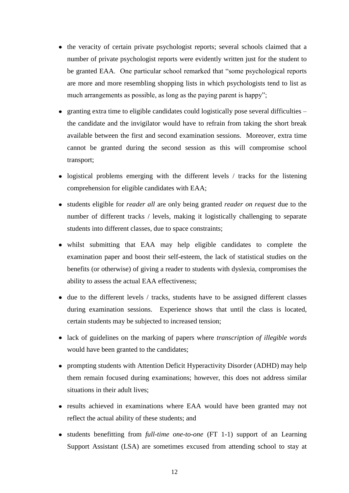- the veracity of certain private psychologist reports; several schools claimed that a number of private psychologist reports were evidently written just for the student to be granted EAA. One particular school remarked that "some psychological reports are more and more resembling shopping lists in which psychologists tend to list as much arrangements as possible, as long as the paying parent is happy";
- granting extra time to eligible candidates could logistically pose several difficulties the candidate and the invigilator would have to refrain from taking the short break available between the first and second examination sessions. Moreover, extra time cannot be granted during the second session as this will compromise school transport;
- logistical problems emerging with the different levels / tracks for the listening comprehension for eligible candidates with EAA;
- students eligible for *reader all* are only being granted *reader on request* due to the number of different tracks / levels, making it logistically challenging to separate students into different classes, due to space constraints;
- whilst submitting that EAA may help eligible candidates to complete the examination paper and boost their self-esteem, the lack of statistical studies on the benefits (or otherwise) of giving a reader to students with dyslexia, compromises the ability to assess the actual EAA effectiveness;
- due to the different levels / tracks, students have to be assigned different classes during examination sessions. Experience shows that until the class is located, certain students may be subjected to increased tension;
- lack of guidelines on the marking of papers where *transcription of illegible words* would have been granted to the candidates;
- prompting students with Attention Deficit Hyperactivity Disorder (ADHD) may help them remain focused during examinations; however, this does not address similar situations in their adult lives;
- results achieved in examinations where EAA would have been granted may not reflect the actual ability of these students; and
- students benefitting from *full-time one-to-one* (FT 1-1) support of an Learning Support Assistant (LSA) are sometimes excused from attending school to stay at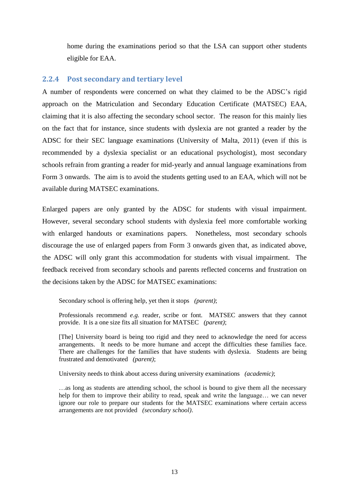home during the examinations period so that the LSA can support other students eligible for EAA.

#### <span id="page-18-0"></span>**2.2.4 Post secondary and tertiary level**

A number of respondents were concerned on what they claimed to be the ADSC"s rigid approach on the Matriculation and Secondary Education Certificate (MATSEC) EAA, claiming that it is also affecting the secondary school sector. The reason for this mainly lies on the fact that for instance, since students with dyslexia are not granted a reader by the ADSC for their SEC language examinations (University of Malta, 2011) (even if this is recommended by a dyslexia specialist or an educational psychologist), most secondary schools refrain from granting a reader for mid-yearly and annual language examinations from Form 3 onwards. The aim is to avoid the students getting used to an EAA, which will not be available during MATSEC examinations.

Enlarged papers are only granted by the ADSC for students with visual impairment. However, several secondary school students with dyslexia feel more comfortable working with enlarged handouts or examinations papers. Nonetheless, most secondary schools discourage the use of enlarged papers from Form 3 onwards given that, as indicated above, the ADSC will only grant this accommodation for students with visual impairment. The feedback received from secondary schools and parents reflected concerns and frustration on the decisions taken by the ADSC for MATSEC examinations:

Secondary school is offering help, yet then it stops *(parent)*;

Professionals recommend *e.g.* reader, scribe or font. MATSEC answers that they cannot provide. It is a one size fits all situation for MATSEC *(parent)*;

[The] University board is being too rigid and they need to acknowledge the need for access arrangements. It needs to be more humane and accept the difficulties these families face. There are challenges for the families that have students with dyslexia. Students are being frustrated and demotivated *(parent)*;

University needs to think about access during university examinations *(academic)*;

…as long as students are attending school, the school is bound to give them all the necessary help for them to improve their ability to read, speak and write the language… we can never ignore our role to prepare our students for the MATSEC examinations where certain access arrangements are not provided *(secondary school)*.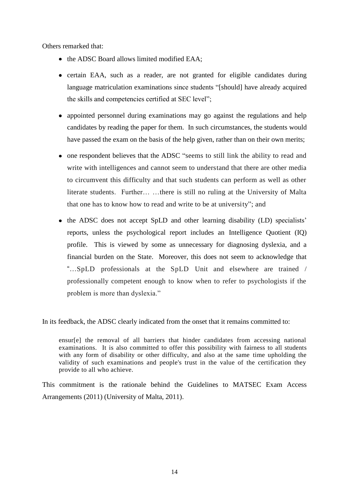Others remarked that:

- the ADSC Board allows limited modified EAA:
- certain EAA, such as a reader, are not granted for eligible candidates during language matriculation examinations since students "[should] have already acquired the skills and competencies certified at SEC level";
- appointed personnel during examinations may go against the regulations and help candidates by reading the paper for them. In such circumstances, the students would have passed the exam on the basis of the help given, rather than on their own merits;
- one respondent believes that the ADSC "seems to still link the ability to read and write with intelligences and cannot seem to understand that there are other media to circumvent this difficulty and that such students can perform as well as other literate students. Further… …there is still no ruling at the University of Malta that one has to know how to read and write to be at university"; and
- the ADSC does not accept SpLD and other learning disability (LD) specialists' reports, unless the psychological report includes an Intelligence Quotient (IQ) profile. This is viewed by some as unnecessary for diagnosing dyslexia, and a financial burden on the State. Moreover, this does not seem to acknowledge that "…SpLD professionals at the SpLD Unit and elsewhere are trained / professionally competent enough to know when to refer to psychologists if the problem is more than dyslexia."

In its feedback, the ADSC clearly indicated from the onset that it remains committed to:

ensur[e] the removal of all barriers that hinder candidates from accessing national examinations. It is also committed to offer this possibility with fairness to all students with any form of disability or other difficulty, and also at the same time upholding the validity of such examinations and people's trust in the value of the certification they provide to all who achieve.

This commitment is the rationale behind the Guidelines to MATSEC Exam Access Arrangements (2011) (University of Malta, 2011).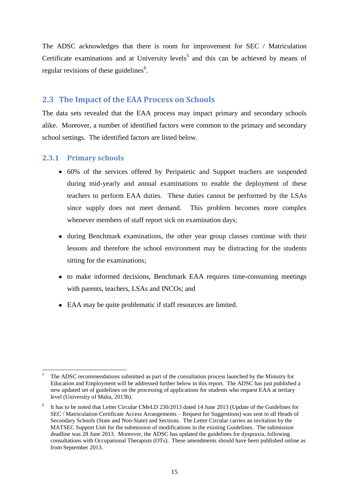The ADSC acknowledges that there is room for improvement for SEC / Matriculation Certificate examinations and at University levels<sup>5</sup> and this can be achieved by means of regular revisions of these guidelines $<sup>6</sup>$ .</sup>

## <span id="page-20-0"></span>**2.3 The Impact of the EAA Process on Schools**

The data sets revealed that the EAA process may impact primary and secondary schools alike. Moreover, a number of identified factors were common to the primary and secondary school settings. The identified factors are listed below.

### <span id="page-20-1"></span>**2.3.1 Primary schools**

1

- 60% of the services offered by Peripatetic and Support teachers are suspended during mid-yearly and annual examinations to enable the deployment of these teachers to perform EAA duties. These duties cannot be performed by the LSAs since supply does not meet demand. This problem becomes more complex whenever members of staff report sick on examination days;
- during Benchmark examinations, the other year group classes continue with their lessons and therefore the school environment may be distracting for the students sitting for the examinations;
- to make informed decisions, Benchmark EAA requires time-consuming meetings with parents, teachers, LSAs and INCOs; and
- EAA may be quite problematic if staff resources are limited.

<sup>5</sup> The ADSC recommendations submitted as part of the consultation process launched by the Ministry for Education and Employment will be addressed further below in this report. The ADSC has just published a new updated set of guidelines on the processing of applications for students who request EAA at tertiary level (University of Malta, 2013b).

<sup>6</sup> It has to be noted that Letter Circular CMeLD 230/2013 dated 14 June 2013 (Update of the Guidelines for SEC / Matriculation Certificate Access Arrangements – Request for Suggestions) was sent to all Heads of Secondary Schools (State and Non-State) and Sections. The Letter Circular carries an invitation by the MATSEC Support Unit for the submission of modifications in the existing Guidelines. The submission deadline was 28 June 2013. Moreover, the ADSC has updated the guidelines for dyspraxia, following consultations with Occupational Therapists (OTs). These amendments should have been published online as from September 2013.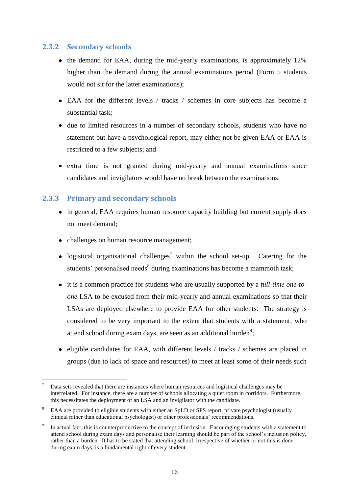## <span id="page-21-0"></span>**2.3.2 Secondary schools**

- the demand for EAA, during the mid-yearly examinations, is approximately 12% higher than the demand during the annual examinations period (Form 5 students would not sit for the latter examinations);
- EAA for the different levels / tracks / schemes in core subjects has become a substantial task;
- due to limited resources in a number of secondary schools, students who have no statement but have a psychological report, may either not be given EAA or EAA is restricted to a few subjects; and
- extra time is not granted during mid-yearly and annual examinations since candidates and invigilators would have no break between the examinations.

## <span id="page-21-1"></span>**2.3.3 Primary and secondary schools**

- in general, EAA requires human resource capacity building but current supply does not meet demand;
- challenges on human resource management;
- logistical organisational challenges<sup>7</sup> within the school set-up. Catering for the students' personalised needs<sup>8</sup> during examinations has become a mammoth task;
- it is a common practice for students who are usually supported by a *full-time one-toone* LSA to be excused from their mid-yearly and annual examinations so that their LSAs are deployed elsewhere to provide EAA for other students. The strategy is considered to be very important to the extent that students with a statement, who attend school during exam days, are seen as an additional burden<sup>9</sup>;
- eligible candidates for EAA, with different levels / tracks / schemes are placed in groups (due to lack of space and resources) to meet at least some of their needs such

<sup>&</sup>lt;u>.</u> Data sets revealed that there are instances where human resources and logistical challenges may be interrelated. For instance, there are a number of schools allocating a quiet room in corridors. Furthermore, this necessitates the deployment of an LSA and an invigilator with the candidate.

EAA are provided to eligible students with either an SpLD or SPS report, private psychologist (usually clinical rather than educational psychologist) or other professionals" recommendations.

<sup>9</sup> In actual fact, this is counterproductive to the concept of inclusion. Encouraging students with a statement to attend school during exam days and personalise their learning should be part of the school"s inclusion policy, rather than a burden. It has to be stated that attending school, irrespective of whether or not this is done during exam days, is a fundamental right of every student.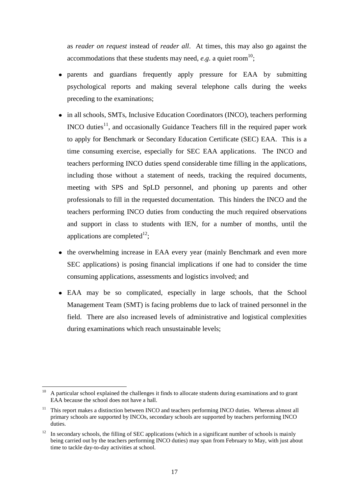as *reader on request* instead of *reader all*. At times, this may also go against the accommodations that these students may need,  $e.g.$  a quiet room<sup>10</sup>;

- parents and guardians frequently apply pressure for EAA by submitting psychological reports and making several telephone calls during the weeks preceding to the examinations;
- in all schools, SMTs, Inclusive Education Coordinators (INCO), teachers performing INCO duties<sup>11</sup>, and occasionally Guidance Teachers fill in the required paper work to apply for Benchmark or Secondary Education Certificate (SEC) EAA. This is a time consuming exercise, especially for SEC EAA applications. The INCO and teachers performing INCO duties spend considerable time filling in the applications, including those without a statement of needs, tracking the required documents, meeting with SPS and SpLD personnel, and phoning up parents and other professionals to fill in the requested documentation. This hinders the INCO and the teachers performing INCO duties from conducting the much required observations and support in class to students with IEN, for a number of months, until the applications are completed $^{12}$ ;
- the overwhelming increase in EAA every year (mainly Benchmark and even more SEC applications) is posing financial implications if one had to consider the time consuming applications, assessments and logistics involved; and
- EAA may be so complicated, especially in large schools, that the School Management Team (SMT) is facing problems due to lack of trained personnel in the field. There are also increased levels of administrative and logistical complexities during examinations which reach unsustainable levels;

1

<sup>&</sup>lt;sup>10</sup> A particular school explained the challenges it finds to allocate students during examinations and to grant EAA because the school does not have a hall.

<sup>&</sup>lt;sup>11</sup> This report makes a distinction between INCO and teachers performing INCO duties. Whereas almost all primary schools are supported by INCOs, secondary schools are supported by teachers performing INCO duties.

 $12$  In secondary schools, the filling of SEC applications (which in a significant number of schools is mainly being carried out by the teachers performing INCO duties) may span from February to May, with just about time to tackle day-to-day activities at school.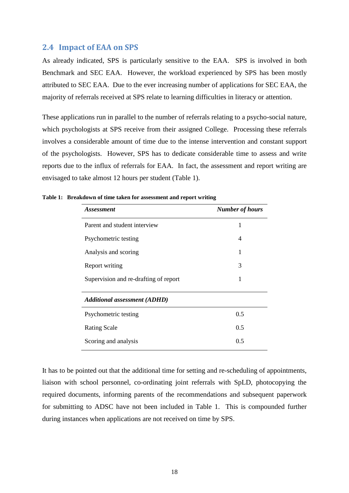#### <span id="page-23-0"></span>**2.4 Impact of EAA on SPS**

As already indicated, SPS is particularly sensitive to the EAA. SPS is involved in both Benchmark and SEC EAA. However, the workload experienced by SPS has been mostly attributed to SEC EAA. Due to the ever increasing number of applications for SEC EAA, the majority of referrals received at SPS relate to learning difficulties in literacy or attention.

These applications run in parallel to the number of referrals relating to a psycho-social nature, which psychologists at SPS receive from their assigned College. Processing these referrals involves a considerable amount of time due to the intense intervention and constant support of the psychologists. However, SPS has to dedicate considerable time to assess and write reports due to the influx of referrals for EAA. In fact, the assessment and report writing are envisaged to take almost 12 hours per student (Table 1).

| <i><b>Assessment</b></i>              | <b>Number of hours</b> |
|---------------------------------------|------------------------|
| Parent and student interview          | 1                      |
| Psychometric testing                  | 4                      |
| Analysis and scoring                  | 1                      |
| Report writing                        | 3                      |
| Supervision and re-drafting of report | 1                      |
| <b>Additional assessment (ADHD)</b>   |                        |
| Psychometric testing                  | 0.5                    |
| <b>Rating Scale</b>                   | 0.5                    |
| Scoring and analysis                  | 0.5                    |

**Table 1: Breakdown of time taken for assessment and report writing**

It has to be pointed out that the additional time for setting and re-scheduling of appointments, liaison with school personnel, co-ordinating joint referrals with SpLD, photocopying the required documents, informing parents of the recommendations and subsequent paperwork for submitting to ADSC have not been included in Table 1. This is compounded further during instances when applications are not received on time by SPS.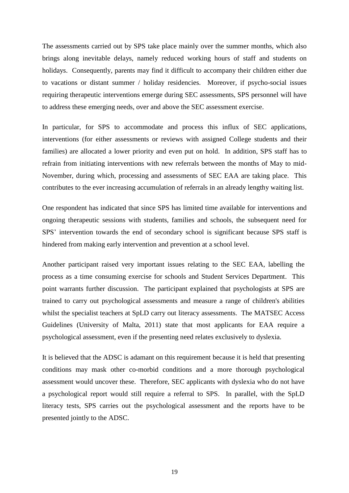The assessments carried out by SPS take place mainly over the summer months, which also brings along inevitable delays, namely reduced working hours of staff and students on holidays. Consequently, parents may find it difficult to accompany their children either due to vacations or distant summer / holiday residencies. Moreover, if psycho-social issues requiring therapeutic interventions emerge during SEC assessments, SPS personnel will have to address these emerging needs, over and above the SEC assessment exercise.

In particular, for SPS to accommodate and process this influx of SEC applications, interventions (for either assessments or reviews with assigned College students and their families) are allocated a lower priority and even put on hold. In addition, SPS staff has to refrain from initiating interventions with new referrals between the months of May to mid-November, during which, processing and assessments of SEC EAA are taking place. This contributes to the ever increasing accumulation of referrals in an already lengthy waiting list.

One respondent has indicated that since SPS has limited time available for interventions and ongoing therapeutic sessions with students, families and schools, the subsequent need for SPS' intervention towards the end of secondary school is significant because SPS staff is hindered from making early intervention and prevention at a school level.

Another participant raised very important issues relating to the SEC EAA, labelling the process as a time consuming exercise for schools and Student Services Department. This point warrants further discussion. The participant explained that psychologists at SPS are trained to carry out psychological assessments and measure a range of children's abilities whilst the specialist teachers at SpLD carry out literacy assessments. The MATSEC Access Guidelines (University of Malta, 2011) state that most applicants for EAA require a psychological assessment, even if the presenting need relates exclusively to dyslexia.

It is believed that the ADSC is adamant on this requirement because it is held that presenting conditions may mask other co-morbid conditions and a more thorough psychological assessment would uncover these. Therefore, SEC applicants with dyslexia who do not have a psychological report would still require a referral to SPS. In parallel, with the SpLD literacy tests, SPS carries out the psychological assessment and the reports have to be presented jointly to the ADSC.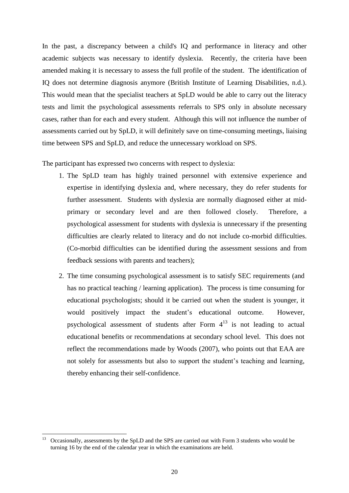In the past, a discrepancy between a child's IQ and performance in literacy and other academic subjects was necessary to identify dyslexia. Recently, the criteria have been amended making it is necessary to assess the full profile of the student. The identification of IQ does not determine diagnosis anymore (British Institute of Learning Disabilities, n.d.). This would mean that the specialist teachers at SpLD would be able to carry out the literacy tests and limit the psychological assessments referrals to SPS only in absolute necessary cases, rather than for each and every student. Although this will not influence the number of assessments carried out by SpLD, it will definitely save on time-consuming meetings, liaising time between SPS and SpLD, and reduce the unnecessary workload on SPS.

The participant has expressed two concerns with respect to dyslexia:

- 1. The SpLD team has highly trained personnel with extensive experience and expertise in identifying dyslexia and, where necessary, they do refer students for further assessment. Students with dyslexia are normally diagnosed either at midprimary or secondary level and are then followed closely. Therefore, a psychological assessment for students with dyslexia is unnecessary if the presenting difficulties are clearly related to literacy and do not include co-morbid difficulties. (Co-morbid difficulties can be identified during the assessment sessions and from feedback sessions with parents and teachers);
- 2. The time consuming psychological assessment is to satisfy SEC requirements (and has no practical teaching / learning application). The process is time consuming for educational psychologists; should it be carried out when the student is younger, it would positively impact the student"s educational outcome. However, psychological assessment of students after Form  $4^{13}$  is not leading to actual educational benefits or recommendations at secondary school level. This does not reflect the recommendations made by Woods (2007), who points out that EAA are not solely for assessments but also to support the student"s teaching and learning, thereby enhancing their self-confidence.

1

<sup>13</sup> Occasionally, assessments by the SpLD and the SPS are carried out with Form 3 students who would be turning 16 by the end of the calendar year in which the examinations are held.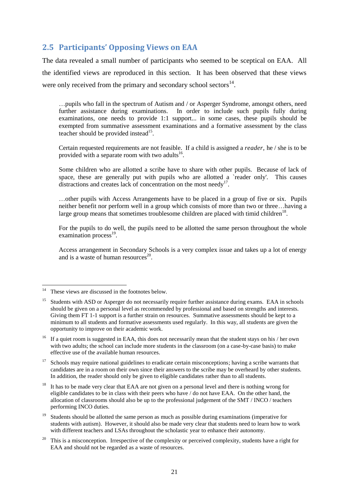# <span id="page-26-0"></span>**2.5 Participants' Opposing Views on EAA**

The data revealed a small number of participants who seemed to be sceptical on EAA. All the identified views are reproduced in this section. It has been observed that these views were only received from the primary and secondary school sectors<sup>14</sup>.

…pupils who fall in the spectrum of Autism and / or Asperger Syndrome, amongst others, need further assistance during examinations. In order to include such pupils fully during examinations, one needs to provide 1:1 support... in some cases, these pupils should be exempted from summative assessment examinations and a formative assessment by the class teacher should be provided instead $15$ .

Certain requested requirements are not feasible. If a child is assigned a *reader,* he / she is to be provided with a separate room with two adults<sup>16</sup>.

Some children who are allotted a scribe have to share with other pupils. Because of lack of space, these are generally put with pupils who are allotted a reader only'. This causes distractions and creates lack of concentration on the most needy<sup>17</sup>.

…other pupils with Access Arrangements have to be placed in a group of five or six. Pupils neither benefit nor perform well in a group which consists of more than two or three…having a large group means that sometimes troublesome children are placed with timid children<sup>18</sup>.

For the pupils to do well, the pupils need to be allotted the same person throughout the whole examination process<sup>19</sup>.

Access arrangement in Secondary Schools is a very complex issue and takes up a lot of energy and is a waste of human resources<sup>20</sup>.

<sup>17</sup> Schools may require national guidelines to eradicate certain misconceptions; having a scribe warrants that candidates are in a room on their own since their answers to the scribe may be overheard by other students. In addition, the reader should only be given to eligible candidates rather than to all students.

<sup>18</sup> It has to be made very clear that EAA are not given on a personal level and there is nothing wrong for eligible candidates to be in class with their peers who have / do not have EAA. On the other hand, the allocation of classrooms should also be up to the professional judgement of the SMT / INCO / teachers performing INCO duties.

<sup>19</sup> Students should be allotted the same person as much as possible during examinations (imperative for students with autism). However, it should also be made very clear that students need to learn how to work with different teachers and LSAs throughout the scholastic year to enhance their autonomy.

 $14$ These views are discussed in the footnotes below.

<sup>&</sup>lt;sup>15</sup> Students with ASD or Asperger do not necessarily require further assistance during exams. EAA in schools should be given on a personal level as recommended by professional and based on strengths and interests. Giving them FT 1-1 support is a further strain on resources. Summative assessments should be kept to a minimum to all students and formative assessments used regularly. In this way, all students are given the opportunity to improve on their academic work.

<sup>&</sup>lt;sup>16</sup> If a quiet room is suggested in EAA, this does not necessarily mean that the student stays on his / her own with two adults; the school can include more students in the classroom (on a case-by-case basis) to make effective use of the available human resources.

<sup>20</sup> This is a misconception. Irrespective of the complexity or perceived complexity, students have a right for EAA and should not be regarded as a waste of resources.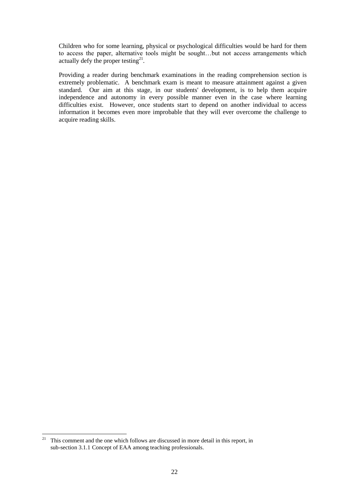Children who for some learning, physical or psychological difficulties would be hard for them to access the paper, alternative tools might be sought…but not access arrangements which actually defy the proper testing $^{21}$ .

Providing a reader during benchmark examinations in the reading comprehension section is extremely problematic. A benchmark exam is meant to measure attainment against a given standard. Our aim at this stage, in our students' development, is to help them acquire independence and autonomy in every possible manner even in the case where learning difficulties exist. However, once students start to depend on another individual to access information it becomes even more improbable that they will ever overcome the challenge to acquire reading skills.

 $21\,$ <sup>21</sup> This comment and the one which follows are discussed in more detail in this report, in sub-section 3.1.1 [Concept of EAA among teaching professionals.](#page-34-2)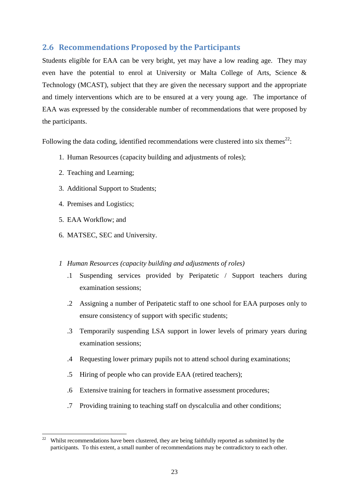# <span id="page-28-0"></span>**2.6 Recommendations Proposed by the Participants**

Students eligible for EAA can be very bright, yet may have a low reading age. They may even have the potential to enrol at University or Malta College of Arts, Science & Technology (MCAST), subject that they are given the necessary support and the appropriate and timely interventions which are to be ensured at a very young age. The importance of EAA was expressed by the considerable number of recommendations that were proposed by the participants.

Following the data coding, identified recommendations were clustered into six themes<sup>22</sup>:

- 1. Human Resources (capacity building and adjustments of roles);
- 2. Teaching and Learning;
- 3. Additional Support to Students;
- 4. Premises and Logistics;
- 5. EAA Workflow; and
- 6. MATSEC, SEC and University.

### *1 Human Resources (capacity building and adjustments of roles)*

- .1 Suspending services provided by Peripatetic / Support teachers during examination sessions;
- .2 Assigning a number of Peripatetic staff to one school for EAA purposes only to ensure consistency of support with specific students;
- .3 Temporarily suspending LSA support in lower levels of primary years during examination sessions;
- .4 Requesting lower primary pupils not to attend school during examinations;
- .5 Hiring of people who can provide EAA (retired teachers);
- .6 Extensive training for teachers in formative assessment procedures;
- .7 Providing training to teaching staff on dyscalculia and other conditions;

<sup>1</sup> <sup>22</sup> Whilst recommendations have been clustered, they are being faithfully reported as submitted by the participants. To this extent, a small number of recommendations may be contradictory to each other.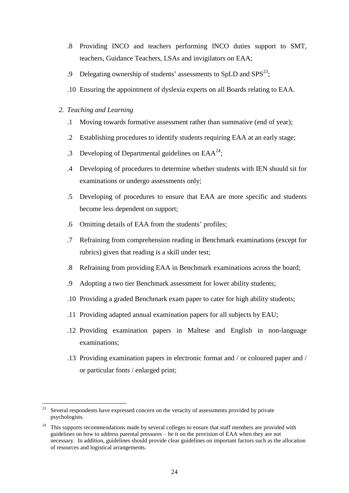- .8 Providing INCO and teachers performing INCO duties support to SMT, teachers, Guidance Teachers, LSAs and invigilators on EAA;
- .9 Delegating ownership of students' assessments to SpLD and  $SPS^{23}$ ;
- .10 Ensuring the appointment of dyslexia experts on all Boards relating to EAA.
- *2. Teaching and Learning*
	- .1 Moving towards formative assessment rather than summative (end of year);
	- .2 Establishing procedures to identify students requiring EAA at an early stage;
	- .3 Developing of Departmental guidelines on  $EAA^{24}$ ;
	- .4 Developing of procedures to determine whether students with IEN should sit for examinations or undergo assessments only;
	- .5 Developing of procedures to ensure that EAA are more specific and students become less dependent on support;
	- .6 Omitting details of EAA from the students' profiles;
	- .7 Refraining from comprehension reading in Benchmark examinations (except for rubrics) given that reading is a skill under test;
	- .8 Refraining from providing EAA in Benchmark examinations across the board;
	- .9 Adopting a two tier Benchmark assessment for lower ability students;
	- .10 Providing a graded Benchmark exam paper to cater for high ability students;
	- .11 Providing adapted annual examination papers for all subjects by EAU;
	- .12 Providing examination papers in Maltese and English in non-language examinations;
	- .13 Providing examination papers in electronic format and / or coloured paper and / or particular fonts / enlarged print;

<sup>23</sup> Several respondents have expressed concern on the veracity of assessments provided by private psychologists.

<sup>24</sup> This supports recommendations made by several colleges to ensure that staff members are provided with guidelines on how to address parental pressures – be it on the provision of EAA when they are not necessary. In addition, guidelines should provide clear guidelines on important factors such as the allocation of resources and logistical arrangements.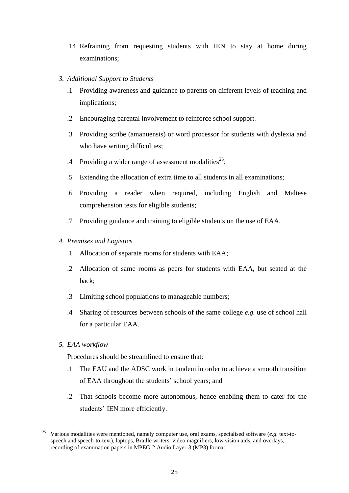- .14 Refraining from requesting students with IEN to stay at home during examinations;
- *3. Additional Support to Students*
	- .1 Providing awareness and guidance to parents on different levels of teaching and implications;
	- .2 Encouraging parental involvement to reinforce school support.
	- .3 Providing scribe (amanuensis) or word processor for students with dyslexia and who have writing difficulties;
	- .4 Providing a wider range of assessment modalities<sup>25</sup>;
	- .5 Extending the allocation of extra time to all students in all examinations;
	- .6 Providing a reader when required, including English and Maltese comprehension tests for eligible students;
	- .7 Providing guidance and training to eligible students on the use of EAA.
- *4. Premises and Logistics*
	- .1 Allocation of separate rooms for students with EAA;
	- .2 Allocation of same rooms as peers for students with EAA, but seated at the back;
	- .3 Limiting school populations to manageable numbers;
	- .4 Sharing of resources between schools of the same college *e.g.* use of school hall for a particular EAA.
- *5. EAA workflow*

Procedures should be streamlined to ensure that:

- .1 The EAU and the ADSC work in tandem in order to achieve a smooth transition of EAA throughout the students' school years; and
- .2 That schools become more autonomous, hence enabling them to cater for the students' IEN more efficiently.

<sup>&</sup>lt;u>.</u> <sup>25</sup> Various modalities were mentioned, namely computer use, oral exams, specialised software (*e.g.* text-tospeech and speech-to-text), laptops, Braille writers, video magnifiers, low vision aids, and overlays, recording of examination papers in MPEG-2 Audio Layer-3 (MP3) format.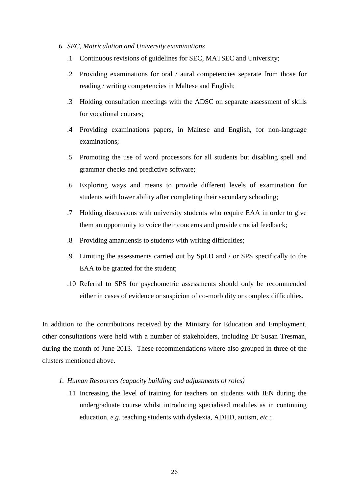#### *6. SEC, Matriculation and University examinations*

- .1 Continuous revisions of guidelines for SEC, MATSEC and University;
- .2 Providing examinations for oral / aural competencies separate from those for reading / writing competencies in Maltese and English;
- .3 Holding consultation meetings with the ADSC on separate assessment of skills for vocational courses;
- .4 Providing examinations papers, in Maltese and English, for non-language examinations;
- .5 Promoting the use of word processors for all students but disabling spell and grammar checks and predictive software;
- .6 Exploring ways and means to provide different levels of examination for students with lower ability after completing their secondary schooling;
- .7 Holding discussions with university students who require EAA in order to give them an opportunity to voice their concerns and provide crucial feedback;
- .8 Providing amanuensis to students with writing difficulties;
- .9 Limiting the assessments carried out by SpLD and / or SPS specifically to the EAA to be granted for the student;
- .10 Referral to SPS for psychometric assessments should only be recommended either in cases of evidence or suspicion of co-morbidity or complex difficulties.

In addition to the contributions received by the Ministry for Education and Employment, other consultations were held with a number of stakeholders, including Dr Susan Tresman, during the month of June 2013. These recommendations where also grouped in three of the clusters mentioned above.

- *1. Human Resources (capacity building and adjustments of roles)*
	- .11 Increasing the level of training for teachers on students with IEN during the undergraduate course whilst introducing specialised modules as in continuing education, *e.g.* teaching students with dyslexia, ADHD, autism, *etc.*;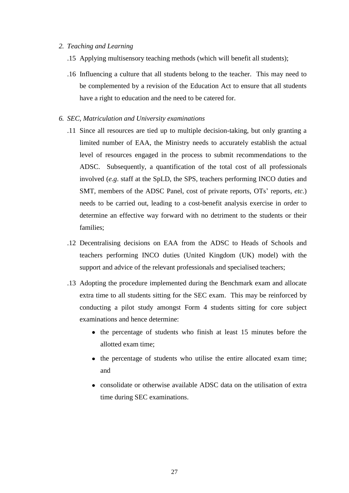#### *2. Teaching and Learning*

- .15 Applying multisensory teaching methods (which will benefit all students);
- .16 Influencing a culture that all students belong to the teacher. This may need to be complemented by a revision of the Education Act to ensure that all students have a right to education and the need to be catered for.
- *6. SEC, Matriculation and University examinations*
	- .11 Since all resources are tied up to multiple decision-taking, but only granting a limited number of EAA, the Ministry needs to accurately establish the actual level of resources engaged in the process to submit recommendations to the ADSC. Subsequently, a quantification of the total cost of all professionals involved (*e.g*. staff at the SpLD, the SPS, teachers performing INCO duties and SMT, members of the ADSC Panel, cost of private reports, OTs' reports, *etc.*) needs to be carried out, leading to a cost-benefit analysis exercise in order to determine an effective way forward with no detriment to the students or their families;
	- .12 Decentralising decisions on EAA from the ADSC to Heads of Schools and teachers performing INCO duties (United Kingdom (UK) model) with the support and advice of the relevant professionals and specialised teachers;
	- .13 Adopting the procedure implemented during the Benchmark exam and allocate extra time to all students sitting for the SEC exam. This may be reinforced by conducting a pilot study amongst Form 4 students sitting for core subject examinations and hence determine:
		- the percentage of students who finish at least 15 minutes before the allotted exam time;
		- the percentage of students who utilise the entire allocated exam time; and
		- consolidate or otherwise available ADSC data on the utilisation of extra time during SEC examinations.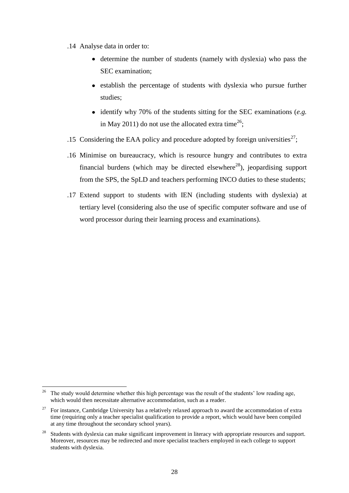- .14 Analyse data in order to:
	- determine the number of students (namely with dyslexia) who pass the SEC examination;
	- establish the percentage of students with dyslexia who pursue further studies;
	- identify why 70% of the students sitting for the SEC examinations (*e.g.* in May 2011) do not use the allocated extra time<sup>26</sup>;
- .15 Considering the EAA policy and procedure adopted by foreign universities<sup>27</sup>;
- .16 Minimise on bureaucracy, which is resource hungry and contributes to extra financial burdens (which may be directed elsewhere<sup>28</sup>), jeopardising support from the SPS, the SpLD and teachers performing INCO duties to these students;
- .17 Extend support to students with IEN (including students with dyslexia) at tertiary level (considering also the use of specific computer software and use of word processor during their learning process and examinations).

<sup>1</sup> <sup>26</sup> The study would determine whether this high percentage was the result of the students' low reading age, which would then necessitate alternative accommodation, such as a reader.

 $27$  For instance, Cambridge University has a relatively relaxed approach to award the accommodation of extra time (requiring only a teacher specialist qualification to provide a report, which would have been compiled at any time throughout the secondary school years).

<sup>&</sup>lt;sup>28</sup> Students with dyslexia can make significant improvement in literacy with appropriate resources and support. Moreover, resources may be redirected and more specialist teachers employed in each college to support students with dyslexia.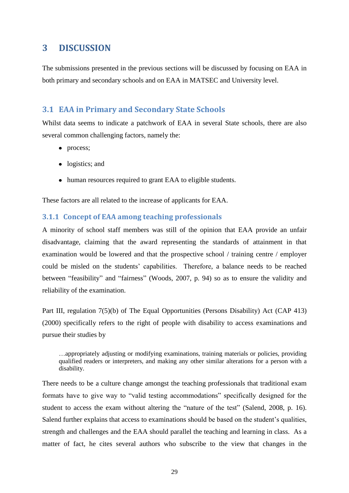# <span id="page-34-0"></span>**3 DISCUSSION**

The submissions presented in the previous sections will be discussed by focusing on EAA in both primary and secondary schools and on EAA in MATSEC and University level.

## <span id="page-34-1"></span>**3.1 EAA in Primary and Secondary State Schools**

Whilst data seems to indicate a patchwork of EAA in several State schools, there are also several common challenging factors, namely the:

- process;
- logistics; and
- human resources required to grant EAA to eligible students.

These factors are all related to the increase of applicants for EAA.

### <span id="page-34-2"></span>**3.1.1 Concept of EAA among teaching professionals**

A minority of school staff members was still of the opinion that EAA provide an unfair disadvantage, claiming that the award representing the standards of attainment in that examination would be lowered and that the prospective school / training centre / employer could be misled on the students" capabilities. Therefore, a balance needs to be reached between "feasibility" and "fairness" (Woods, 2007, p. 94) so as to ensure the validity and reliability of the examination.

Part III, regulation 7(5)(b) of The Equal Opportunities (Persons Disability) Act (CAP 413) (2000) specifically refers to the right of people with disability to access examinations and pursue their studies by

…appropriately adjusting or modifying examinations, training materials or policies, providing qualified readers or interpreters, and making any other similar alterations for a person with a disability.

There needs to be a culture change amongst the teaching professionals that traditional exam formats have to give way to "valid testing accommodations" specifically designed for the student to access the exam without altering the "nature of the test" (Salend, 2008, p. 16). Salend further explains that access to examinations should be based on the student"s qualities, strength and challenges and the EAA should parallel the teaching and learning in class. As a matter of fact, he cites several authors who subscribe to the view that changes in the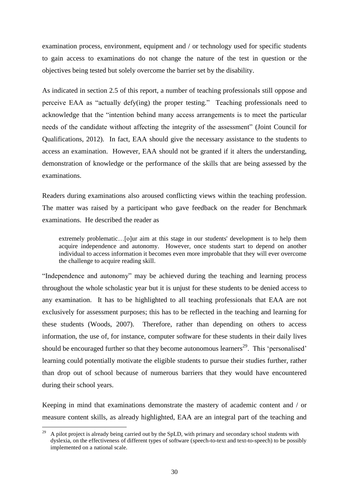examination process, environment, equipment and / or technology used for specific students to gain access to examinations do not change the nature of the test in question or the objectives being tested but solely overcome the barrier set by the disability.

As indicated in section 2.5 of this report, a number of teaching professionals still oppose and perceive EAA as "actually defy(ing) the proper testing." Teaching professionals need to acknowledge that the "intention behind many access arrangements is to meet the particular needs of the candidate without affecting the integrity of the assessment" (Joint Council for Qualifications, 2012). In fact, EAA should give the necessary assistance to the students to access an examination. However, EAA should not be granted if it alters the understanding, demonstration of knowledge or the performance of the skills that are being assessed by the examinations.

Readers during examinations also aroused conflicting views within the teaching profession. The matter was raised by a participant who gave feedback on the reader for Benchmark examinations. He described the reader as

extremely problematic…[o]ur aim at this stage in our students' development is to help them acquire independence and autonomy. However, once students start to depend on another individual to access information it becomes even more improbable that they will ever overcome the challenge to acquire reading skill.

"Independence and autonomy" may be achieved during the teaching and learning process throughout the whole scholastic year but it is unjust for these students to be denied access to any examination. It has to be highlighted to all teaching professionals that EAA are not exclusively for assessment purposes; this has to be reflected in the teaching and learning for these students (Woods, 2007). Therefore, rather than depending on others to access information, the use of, for instance, computer software for these students in their daily lives should be encouraged further so that they become autonomous learners<sup>29</sup>. This 'personalised' learning could potentially motivate the eligible students to pursue their studies further, rather than drop out of school because of numerous barriers that they would have encountered during their school years.

Keeping in mind that examinations demonstrate the mastery of academic content and / or measure content skills, as already highlighted, EAA are an integral part of the teaching and

<u>.</u>

<sup>29</sup> A pilot project is already being carried out by the SpLD, with primary and secondary school students with dyslexia, on the effectiveness of different types of software (speech-to-text and text-to-speech) to be possibly implemented on a national scale.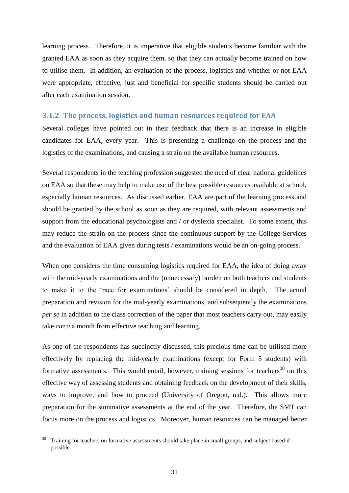learning process. Therefore, it is imperative that eligible students become familiar with the granted EAA as soon as they acquire them, so that they can actually become trained on how to utilise them. In addition, an evaluation of the process, logistics and whether or not EAA were appropriate, effective, just and beneficial for specific students should be carried out after each examination session.

#### <span id="page-36-0"></span>**3.1.2 The process, logistics and human resources required for EAA**

Several colleges have pointed out in their feedback that there is an increase in eligible candidates for EAA, every year. This is presenting a challenge on the process and the logistics of the examinations, and causing a strain on the available human resources.

Several respondents in the teaching profession suggested the need of clear national guidelines on EAA so that these may help to make use of the best possible resources available at school, especially human resources. As discussed earlier, EAA are part of the learning process and should be granted by the school as soon as they are required, with relevant assessments and support from the educational psychologists and / or dyslexia specialist. To some extent, this may reduce the strain on the process since the continuous support by the College Services and the evaluation of EAA given during tests / examinations would be an on-going process.

When one considers the time consuming logistics required for EAA, the idea of doing away with the mid-yearly examinations and the (unnecessary) burden on both teachers and students to make it to the "race for examinations" should be considered in depth. The actual preparation and revision for the mid-yearly examinations, and subsequently the examinations *per se* in addition to the class correction of the paper that most teachers carry out, may easily take *circa* a month from effective teaching and learning.

As one of the respondents has succinctly discussed, this precious time can be utilised more effectively by replacing the mid-yearly examinations (except for Form 5 students) with formative assessments. This would entail, however, training sessions for teachers $30$  on this effective way of assessing students and obtaining feedback on the development of their skills, ways to improve, and how to proceed (University of Oregon, n.d.). This allows more preparation for the summative assessments at the end of the year. Therefore, the SMT can focus more on the process and logistics. Moreover, human resources can be managed better

1

 $30$  Training for teachers on formative assessments should take place in small groups, and subject based if possible.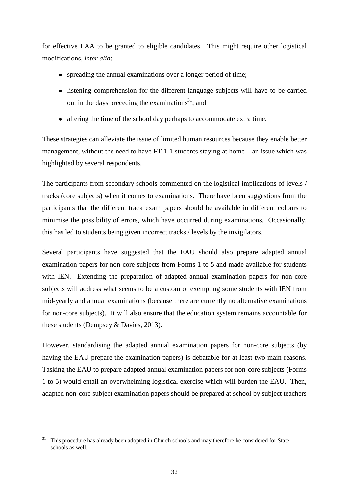for effective EAA to be granted to eligible candidates. This might require other logistical modifications, *inter alia*:

- spreading the annual examinations over a longer period of time;
- listening comprehension for the different language subjects will have to be carried out in the days preceding the examinations<sup>31</sup>; and
- altering the time of the school day perhaps to accommodate extra time.

These strategies can alleviate the issue of limited human resources because they enable better management, without the need to have FT 1-1 students staying at home – an issue which was highlighted by several respondents.

The participants from secondary schools commented on the logistical implications of levels / tracks (core subjects) when it comes to examinations. There have been suggestions from the participants that the different track exam papers should be available in different colours to minimise the possibility of errors, which have occurred during examinations. Occasionally, this has led to students being given incorrect tracks / levels by the invigilators.

Several participants have suggested that the EAU should also prepare adapted annual examination papers for non-core subjects from Forms 1 to 5 and made available for students with IEN. Extending the preparation of adapted annual examination papers for non-core subjects will address what seems to be a custom of exempting some students with IEN from mid-yearly and annual examinations (because there are currently no alternative examinations for non-core subjects). It will also ensure that the education system remains accountable for these students (Dempsey & Davies, 2013).

However, standardising the adapted annual examination papers for non-core subjects (by having the EAU prepare the examination papers) is debatable for at least two main reasons. Tasking the EAU to prepare adapted annual examination papers for non-core subjects (Forms 1 to 5) would entail an overwhelming logistical exercise which will burden the EAU. Then, adapted non-core subject examination papers should be prepared at school by subject teachers

<sup>1</sup> <sup>31</sup> This procedure has already been adopted in Church schools and may therefore be considered for State schools as well.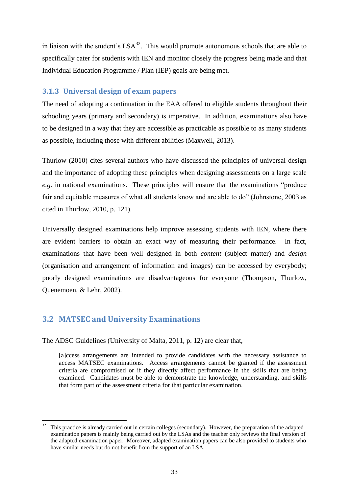in liaison with the student's  $LSA^{32}$ . This would promote autonomous schools that are able to specifically cater for students with IEN and monitor closely the progress being made and that Individual Education Programme / Plan (IEP) goals are being met.

#### <span id="page-38-0"></span>**3.1.3 Universal design of exam papers**

The need of adopting a continuation in the EAA offered to eligible students throughout their schooling years (primary and secondary) is imperative. In addition, examinations also have to be designed in a way that they are accessible as practicable as possible to as many students as possible, including those with different abilities (Maxwell, 2013).

Thurlow (2010) cites several authors who have discussed the principles of universal design and the importance of adopting these principles when designing assessments on a large scale *e.g.* in national examinations. These principles will ensure that the examinations "produce fair and equitable measures of what all students know and are able to do" (Johnstone, 2003 as cited in Thurlow, 2010, p. 121).

Universally designed examinations help improve assessing students with IEN, where there are evident barriers to obtain an exact way of measuring their performance. In fact, examinations that have been well designed in both *content* (subject matter) and *design* (organisation and arrangement of information and images) can be accessed by everybody; poorly designed examinations are disadvantageous for everyone (Thompson, Thurlow, Quenemoen, & Lehr, 2002).

## <span id="page-38-1"></span>**3.2 MATSEC and University Examinations**

1

The ADSC Guidelines (University of Malta, 2011, p. 12) are clear that,

[a]ccess arrangements are intended to provide candidates with the necessary assistance to access MATSEC examinations. Access arrangements cannot be granted if the assessment criteria are compromised or if they directly affect performance in the skills that are being examined. Candidates must be able to demonstrate the knowledge, understanding, and skills that form part of the assessment criteria for that particular examination.

<sup>32</sup> This practice is already carried out in certain colleges (secondary). However, the preparation of the adapted examination papers is mainly being carried out by the LSAs and the teacher only reviews the final version of the adapted examination paper. Moreover, adapted examination papers can be also provided to students who have similar needs but do not benefit from the support of an LSA.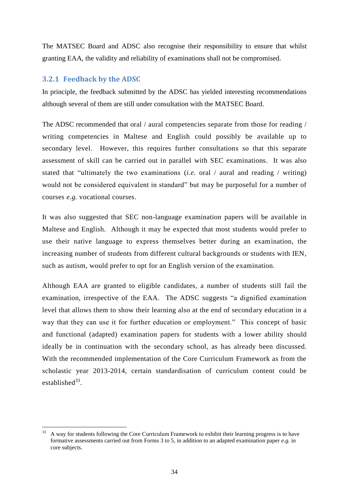The MATSEC Board and ADSC also recognise their responsibility to ensure that whilst granting EAA, the validity and reliability of examinations shall not be compromised.

## <span id="page-39-0"></span>**3.2.1 Feedback by the ADSC**

In principle, the feedback submitted by the ADSC has yielded interesting recommendations although several of them are still under consultation with the MATSEC Board.

The ADSC recommended that oral / aural competencies separate from those for reading / writing competencies in Maltese and English could possibly be available up to secondary level. However, this requires further consultations so that this separate assessment of skill can be carried out in parallel with SEC examinations. It was also stated that "ultimately the two examinations (*i.e.* oral / aural and reading / writing) would not be considered equivalent in standard" but may be purposeful for a number of courses *e.g.* vocational courses.

It was also suggested that SEC non-language examination papers will be available in Maltese and English. Although it may be expected that most students would prefer to use their native language to express themselves better during an examination, the increasing number of students from different cultural backgrounds or students with IEN, such as autism, would prefer to opt for an English version of the examination.

Although EAA are granted to eligible candidates, a number of students still fail the examination, irrespective of the EAA. The ADSC suggests "a dignified examination level that allows them to show their learning also at the end of secondary education in a way that they can use it for further education or employment." This concept of basic and functional (adapted) examination papers for students with a lower ability should ideally be in continuation with the secondary school, as has already been discussed. With the recommended implementation of the Core Curriculum Framework as from the scholastic year 2013-2014, certain standardisation of curriculum content could be established $33$ .

<sup>&</sup>lt;u>.</u> <sup>33</sup> A way for students following the Core Curriculum Framework to exhibit their learning progress is to have formative assessments carried out from Forms 3 to 5, in addition to an adapted examination paper *e.g.* in core subjects.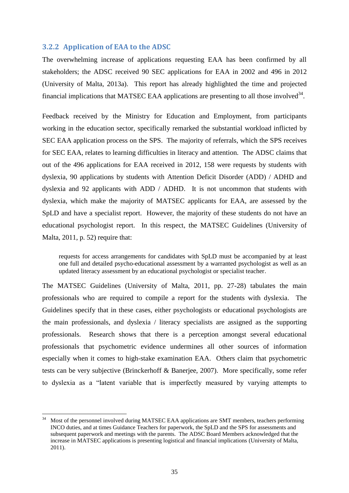#### <span id="page-40-0"></span>**3.2.2 Application of EAA to the ADSC**

The overwhelming increase of applications requesting EAA has been confirmed by all stakeholders; the ADSC received 90 SEC applications for EAA in 2002 and 496 in 2012 (University of Malta, 2013a). This report has already highlighted the time and projected financial implications that MATSEC EAA applications are presenting to all those involved $34$ .

Feedback received by the Ministry for Education and Employment, from participants working in the education sector, specifically remarked the substantial workload inflicted by SEC EAA application process on the SPS. The majority of referrals, which the SPS receives for SEC EAA, relates to learning difficulties in literacy and attention. The ADSC claims that out of the 496 applications for EAA received in 2012, 158 were requests by students with dyslexia, 90 applications by students with Attention Deficit Disorder (ADD) / ADHD and dyslexia and 92 applicants with ADD / ADHD. It is not uncommon that students with dyslexia, which make the majority of MATSEC applicants for EAA, are assessed by the SpLD and have a specialist report. However, the majority of these students do not have an educational psychologist report. In this respect, the MATSEC Guidelines (University of Malta, 2011, p. 52) require that:

requests for access arrangements for candidates with SpLD must be accompanied by at least one full and detailed psycho-educational assessment by a warranted psychologist as well as an updated literacy assessment by an educational psychologist or specialist teacher.

The MATSEC Guidelines (University of Malta, 2011, pp. 27-28) tabulates the main professionals who are required to compile a report for the students with dyslexia. The Guidelines specify that in these cases, either psychologists or educational psychologists are the main professionals, and dyslexia / literacy specialists are assigned as the supporting professionals. Research shows that there is a perception amongst several educational professionals that psychometric evidence undermines all other sources of information especially when it comes to high-stake examination EAA. Others claim that psychometric tests can be very subjective (Brinckerhoff & Banerjee, 2007). More specifically, some refer to dyslexia as a "latent variable that is imperfectly measured by varying attempts to

 $34$ <sup>34</sup> Most of the personnel involved during MATSEC EAA applications are SMT members, teachers performing INCO duties, and at times Guidance Teachers for paperwork, the SpLD and the SPS for assessments and subsequent paperwork and meetings with the parents. The ADSC Board Members acknowledged that the increase in MATSEC applications is presenting logistical and financial implications (University of Malta, 2011).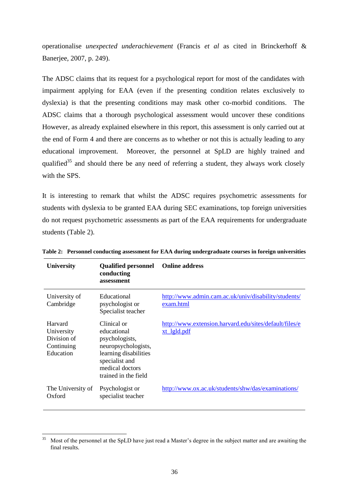operationalise *unexpected underachievement* (Francis *et al* as cited in Brinckerhoff & Banerjee, 2007, p. 249).

The ADSC claims that its request for a psychological report for most of the candidates with impairment applying for EAA (even if the presenting condition relates exclusively to dyslexia) is that the presenting conditions may mask other co-morbid conditions. The ADSC claims that a thorough psychological assessment would uncover these conditions However, as already explained elsewhere in this report, this assessment is only carried out at the end of Form 4 and there are concerns as to whether or not this is actually leading to any educational improvement. Moreover, the personnel at SpLD are highly trained and qualified<sup>35</sup> and should there be any need of referring a student, they always work closely with the SPS.

It is interesting to remark that whilst the ADSC requires psychometric assessments for students with dyslexia to be granted EAA during SEC examinations, top foreign universities do not request psychometric assessments as part of the EAA requirements for undergraduate students (Table 2).

| University                                                      | <b>Qualified personnel</b><br>conducting<br>assessment                                                                                                    | <b>Online address</b>                                                        |
|-----------------------------------------------------------------|-----------------------------------------------------------------------------------------------------------------------------------------------------------|------------------------------------------------------------------------------|
| University of<br>Cambridge                                      | Educational<br>psychologist or<br>Specialist teacher                                                                                                      | http://www.admin.cam.ac.uk/univ/disability/students/<br>exam.html            |
| Harvard<br>University<br>Division of<br>Continuing<br>Education | Clinical or<br>educational<br>psychologists,<br>neuropsychologists,<br>learning disabilities<br>specialist and<br>medical doctors<br>trained in the field | http://www.extension.harvard.edu/sites/default/files/e<br><u>xt lgld.pdf</u> |
| The University of<br>Oxford                                     | Psychologist or<br>specialist teacher                                                                                                                     | http://www.ox.ac.uk/students/shw/das/examinations/                           |

**Table 2: Personnel conducting assessment for EAA during undergraduate courses in foreign universities**

 $35$ Most of the personnel at the SpLD have just read a Master's degree in the subject matter and are awaiting the final results.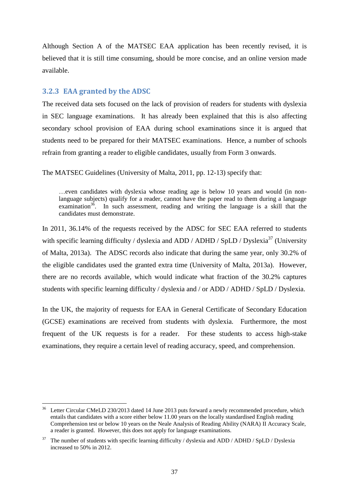Although Section A of the MATSEC EAA application has been recently revised, it is believed that it is still time consuming, should be more concise, and an online version made available.

#### <span id="page-42-0"></span>**3.2.3 EAA granted by the ADSC**

1

The received data sets focused on the lack of provision of readers for students with dyslexia in SEC language examinations. It has already been explained that this is also affecting secondary school provision of EAA during school examinations since it is argued that students need to be prepared for their MATSEC examinations. Hence, a number of schools refrain from granting a reader to eligible candidates, usually from Form 3 onwards.

The MATSEC Guidelines (University of Malta, 2011, pp. 12-13) specify that:

…even candidates with dyslexia whose reading age is below 10 years and would (in nonlanguage subjects) qualify for a reader, cannot have the paper read to them during a language examination<sup>36</sup>. In such assessment, reading and writing the language is a skill that the candidates must demonstrate.

In 2011, 36.14% of the requests received by the ADSC for SEC EAA referred to students with specific learning difficulty / dyslexia and ADD / ADHD /  $SpLD$  / Dyslexia<sup>37</sup> (University of Malta, 2013a). The ADSC records also indicate that during the same year, only 30.2% of the eligible candidates used the granted extra time (University of Malta, 2013a). However, there are no records available, which would indicate what fraction of the 30.2% captures students with specific learning difficulty / dyslexia and / or ADD / ADHD / SpLD / Dyslexia.

In the UK, the majority of requests for EAA in General Certificate of Secondary Education (GCSE) examinations are received from students with dyslexia. Furthermore, the most frequent of the UK requests is for a reader. For these students to access high-stake examinations, they require a certain level of reading accuracy, speed, and comprehension.

<sup>&</sup>lt;sup>36</sup> Letter Circular CMeLD 230/2013 dated 14 June 2013 puts forward a newly recommended procedure, which entails that candidates with a score either below 11.00 years on the locally standardised English reading Comprehension test or below 10 years on the Neale Analysis of Reading Ability (NARA) II Accuracy Scale, a reader is granted. However, this does not apply for language examinations.

 $37$  The number of students with specific learning difficulty / dyslexia and ADD / ADHD / SpLD / Dyslexia increased to 50% in 2012.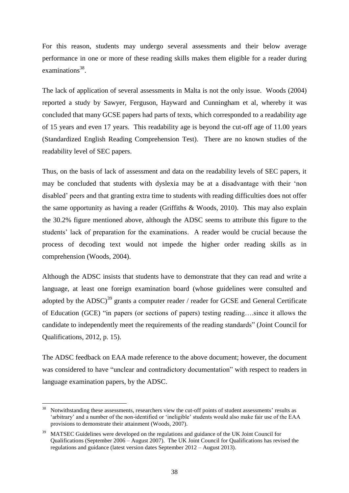For this reason, students may undergo several assessments and their below average performance in one or more of these reading skills makes them eligible for a reader during examinations<sup>38</sup>.

The lack of application of several assessments in Malta is not the only issue. Woods (2004) reported a study by Sawyer, Ferguson, Hayward and Cunningham et al, whereby it was concluded that many GCSE papers had parts of texts, which corresponded to a readability age of 15 years and even 17 years. This readability age is beyond the cut-off age of 11.00 years (Standardized English Reading Comprehension Test). There are no known studies of the readability level of SEC papers.

Thus, on the basis of lack of assessment and data on the readability levels of SEC papers, it may be concluded that students with dyslexia may be at a disadvantage with their "non disabled" peers and that granting extra time to students with reading difficulties does not offer the same opportunity as having a reader (Griffiths & Woods, 2010). This may also explain the 30.2% figure mentioned above, although the ADSC seems to attribute this figure to the students' lack of preparation for the examinations. A reader would be crucial because the process of decoding text would not impede the higher order reading skills as in comprehension (Woods, 2004).

Although the ADSC insists that students have to demonstrate that they can read and write a language, at least one foreign examination board (whose guidelines were consulted and adopted by the ADSC)<sup>39</sup> grants a computer reader / reader for GCSE and General Certificate of Education (GCE) "in papers (or sections of papers) testing reading….since it allows the candidate to independently meet the requirements of the reading standards" (Joint Council for Qualifications, 2012, p. 15).

The ADSC feedback on EAA made reference to the above document; however, the document was considered to have "unclear and contradictory documentation" with respect to readers in language examination papers, by the ADSC.

1

<sup>&</sup>lt;sup>38</sup> Notwithstanding these assessments, researchers view the cut-off points of student assessments' results as "arbitrary" and a number of the non-identified or "ineligible" students would also make fair use of the EAA provisions to demonstrate their attainment (Woods, 2007).

<sup>39</sup> MATSEC Guidelines were developed on the regulations and guidance of the UK Joint Council for Qualifications (September 2006 – August 2007). The UK Joint Council for Qualifications has revised the regulations and guidance (latest version dates September 2012 – August 2013).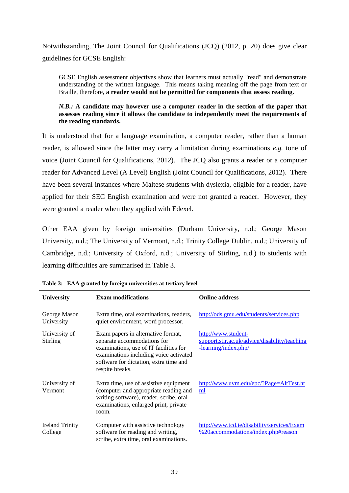Notwithstanding, The Joint Council for Qualifications (JCQ) (2012, p. 20) does give clear guidelines for GCSE English:

GCSE English assessment objectives show that learners must actually "read" and demonstrate understanding of the written language. This means taking meaning off the page from text or Braille, therefore, **a reader would not be permitted for components that assess reading**.

#### *N.B.:* **A** candidate may however use a computer reader in the section of the paper that **assesses reading since it allows the candidate to independently meet the requirements of the reading standards.**

It is understood that for a language examination, a computer reader, rather than a human reader, is allowed since the latter may carry a limitation during examinations *e.g.* tone of voice (Joint Council for Qualifications, 2012). The JCQ also grants a reader or a computer reader for Advanced Level (A Level) English (Joint Council for Qualifications, 2012). There have been several instances where Maltese students with dyslexia, eligible for a reader, have applied for their SEC English examination and were not granted a reader. However, they were granted a reader when they applied with Edexel.

Other EAA given by foreign universities (Durham University, n.d.; George Mason University, n.d.; The University of Vermont, n.d.; Trinity College Dublin, n.d.; University of Cambridge, n.d.; University of Oxford, n.d.; University of Stirling, n.d.) to students with learning difficulties are summarised in Table 3.

| <b>University</b>                 | <b>Exam modifications</b>                                                                                                                                                                                          | <b>Online address</b>                                                                        |
|-----------------------------------|--------------------------------------------------------------------------------------------------------------------------------------------------------------------------------------------------------------------|----------------------------------------------------------------------------------------------|
| George Mason<br>University        | Extra time, oral examinations, readers,<br>quiet environment, word processor.                                                                                                                                      | http://ods.gmu.edu/students/services.php                                                     |
| University of<br><b>Stirling</b>  | Exam papers in alternative format,<br>separate accommodations for<br>examinations, use of IT facilities for<br>examinations including voice activated<br>software for dictation, extra time and<br>respite breaks. | http://www.student-<br>support.stir.ac.uk/advice/disability/teaching<br>-learning/index.php/ |
| University of<br>Vermont          | Extra time, use of assistive equipment<br>(computer and appropriate reading and<br>writing software), reader, scribe, oral<br>examinations, enlarged print, private<br>room.                                       | http://www.uvm.edu/epc/?Page=AltTest.ht<br>ml                                                |
| <b>Ireland Trinity</b><br>College | Computer with assistive technology<br>software for reading and writing,<br>scribe, extra time, oral examinations.                                                                                                  | http://www.tcd.ie/disability/services/Exam<br>%20accommodations/index.php#reason             |

**Table 3: EAA granted by foreign universities at tertiary level**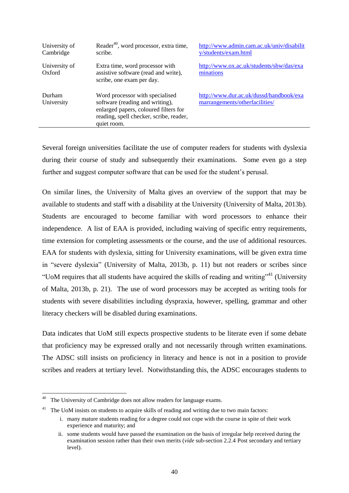| University of<br>Cambridge | Reader <sup>40</sup> , word processor, extra time,<br>scribe.                                                                                                         | http://www.admin.cam.ac.uk/univ/disabilit<br>y/students/exam.html         |
|----------------------------|-----------------------------------------------------------------------------------------------------------------------------------------------------------------------|---------------------------------------------------------------------------|
| University of<br>Oxford    | Extra time, word processor with<br>assistive software (read and write),<br>scribe, one exam per day.                                                                  | http://www.ox.ac.uk/students/shw/das/exa<br>minations                     |
| Durham<br>University       | Word processor with specialised<br>software (reading and writing),<br>enlarged papers, coloured filters for<br>reading, spell checker, scribe, reader,<br>quiet room. | http://www.dur.ac.uk/dussd/handbook/exa<br>marrangements/otherfacilities/ |

Several foreign universities facilitate the use of computer readers for students with dyslexia during their course of study and subsequently their examinations. Some even go a step further and suggest computer software that can be used for the student"s perusal.

On similar lines, the University of Malta gives an overview of the support that may be available to students and staff with a disability at the University (University of Malta, 2013b). Students are encouraged to become familiar with word processors to enhance their independence. A list of EAA is provided, including waiving of specific entry requirements, time extension for completing assessments or the course, and the use of additional resources. EAA for students with dyslexia, sitting for University examinations, will be given extra time in "severe dyslexia" (University of Malta, 2013b, p. 11) but not readers or scribes since "UoM requires that all students have acquired the skills of reading and writing"<sup>41</sup> (University of Malta, 2013b, p. 21). The use of word processors may be accepted as writing tools for students with severe disabilities including dyspraxia, however, spelling, grammar and other literacy checkers will be disabled during examinations.

Data indicates that UoM still expects prospective students to be literate even if some debate that proficiency may be expressed orally and not necessarily through written examinations. The ADSC still insists on proficiency in literacy and hence is not in a position to provide scribes and readers at tertiary level. Notwithstanding this, the ADSC encourages students to

1

<sup>&</sup>lt;sup>40</sup> The University of Cambridge does not allow readers for language exams.

 $41$  The UoM insists on students to acquire skills of reading and writing due to two main factors:

i. many mature students reading for a degree could not cope with the course in spite of their work experience and maturity; and

ii. some students would have passed the examination on the basis of irregular help received during the examination session rather than their own merits (*vide* sub-section 2.2.4 [Post secondary and tertiary](#page-18-0)  [level\)](#page-18-0).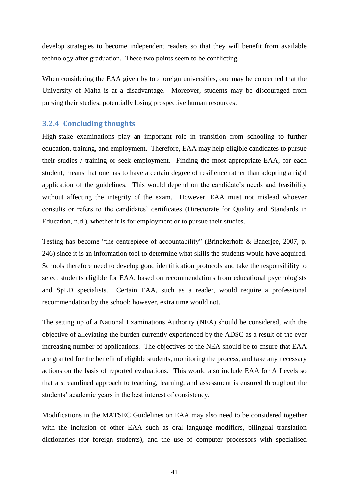develop strategies to become independent readers so that they will benefit from available technology after graduation. These two points seem to be conflicting.

When considering the EAA given by top foreign universities, one may be concerned that the University of Malta is at a disadvantage. Moreover, students may be discouraged from pursing their studies, potentially losing prospective human resources.

#### <span id="page-46-0"></span>**3.2.4 Concluding thoughts**

High-stake examinations play an important role in transition from schooling to further education, training, and employment. Therefore, EAA may help eligible candidates to pursue their studies / training or seek employment. Finding the most appropriate EAA, for each student, means that one has to have a certain degree of resilience rather than adopting a rigid application of the guidelines. This would depend on the candidate"s needs and feasibility without affecting the integrity of the exam. However, EAA must not mislead whoever consults or refers to the candidates' certificates (Directorate for Quality and Standards in Education, n.d.), whether it is for employment or to pursue their studies.

Testing has become "the centrepiece of accountability" (Brinckerhoff & Banerjee, 2007, p. 246) since it is an information tool to determine what skills the students would have acquired. Schools therefore need to develop good identification protocols and take the responsibility to select students eligible for EAA, based on recommendations from educational psychologists and SpLD specialists. Certain EAA, such as a reader, would require a professional recommendation by the school; however, extra time would not.

The setting up of a National Examinations Authority (NEA) should be considered, with the objective of alleviating the burden currently experienced by the ADSC as a result of the ever increasing number of applications. The objectives of the NEA should be to ensure that EAA are granted for the benefit of eligible students, monitoring the process, and take any necessary actions on the basis of reported evaluations. This would also include EAA for A Levels so that a streamlined approach to teaching, learning, and assessment is ensured throughout the students' academic years in the best interest of consistency.

Modifications in the MATSEC Guidelines on EAA may also need to be considered together with the inclusion of other EAA such as oral language modifiers, bilingual translation dictionaries (for foreign students), and the use of computer processors with specialised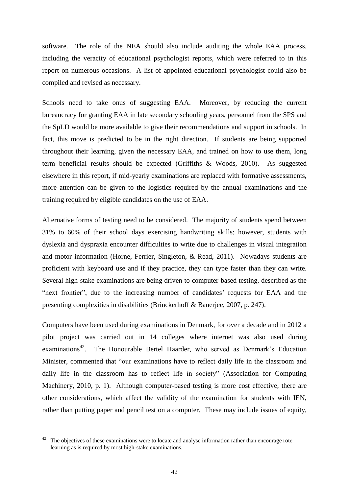software. The role of the NEA should also include auditing the whole EAA process, including the veracity of educational psychologist reports, which were referred to in this report on numerous occasions. A list of appointed educational psychologist could also be compiled and revised as necessary.

Schools need to take onus of suggesting EAA. Moreover, by reducing the current bureaucracy for granting EAA in late secondary schooling years, personnel from the SPS and the SpLD would be more available to give their recommendations and support in schools. In fact, this move is predicted to be in the right direction. If students are being supported throughout their learning, given the necessary EAA, and trained on how to use them, long term beneficial results should be expected (Griffiths & Woods, 2010). As suggested elsewhere in this report, if mid-yearly examinations are replaced with formative assessments, more attention can be given to the logistics required by the annual examinations and the training required by eligible candidates on the use of EAA.

Alternative forms of testing need to be considered. The majority of students spend between 31% to 60% of their school days exercising handwriting skills; however, students with dyslexia and dyspraxia encounter difficulties to write due to challenges in visual integration and motor information (Horne, Ferrier, Singleton, & Read, 2011). Nowadays students are proficient with keyboard use and if they practice, they can type faster than they can write. Several high-stake examinations are being driven to computer-based testing, described as the "next frontier", due to the increasing number of candidates' requests for EAA and the presenting complexities in disabilities (Brinckerhoff & Banerjee, 2007, p. 247).

Computers have been used during examinations in Denmark, for over a decade and in 2012 a pilot project was carried out in 14 colleges where internet was also used during examinations<sup>42</sup>. The Honourable Bertel Haarder, who served as Denmark's Education Minister, commented that "our examinations have to reflect daily life in the classroom and daily life in the classroom has to reflect life in society" (Association for Computing Machinery, 2010, p. 1). Although computer-based testing is more cost effective, there are other considerations, which affect the validity of the examination for students with IEN, rather than putting paper and pencil test on a computer. These may include issues of equity,

1

The objectives of these examinations were to locate and analyse information rather than encourage rote learning as is required by most high-stake examinations.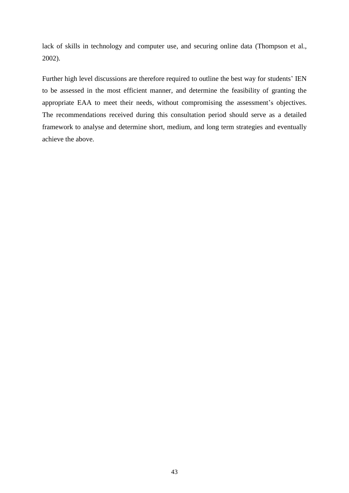lack of skills in technology and computer use, and securing online data (Thompson et al., 2002).

Further high level discussions are therefore required to outline the best way for students' IEN to be assessed in the most efficient manner, and determine the feasibility of granting the appropriate EAA to meet their needs, without compromising the assessment's objectives. The recommendations received during this consultation period should serve as a detailed framework to analyse and determine short, medium, and long term strategies and eventually achieve the above.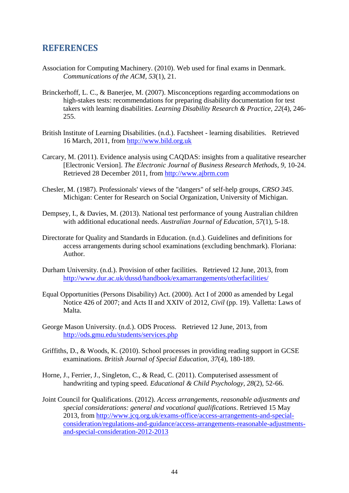## <span id="page-49-0"></span>**REFERENCES**

- Association for Computing Machinery. (2010). Web used for final exams in Denmark. *Communications of the ACM, 53*(1), 21.
- Brinckerhoff, L. C., & Banerjee, M. (2007). Misconceptions regarding accommodations on high-stakes tests: recommendations for preparing disability documentation for test takers with learning disabilities. *Learning Disability Research & Practice, 22*(4), 246- 255.
- British Institute of Learning Disabilities. (n.d.). Factsheet learning disabilities. Retrieved 16 March, 2011, from [http://www.bild.org.uk](http://www.bild.org.uk/)
- Carcary, M. (2011). Evidence analysis using CAQDAS: insights from a qualitative researcher [Electronic Version]. *The Electronic Journal of Business Research Methods*, *9*, 10-24. Retrieved 28 December 2011, from [http://www.ajbrm.com](http://www.ajbrm.com/)
- Chesler, M. (1987). Professionals' views of the "dangers" of self-help groups, *CRSO 345*. Michigan: Center for Research on Social Organization, University of Michigan.
- Dempsey, I., & Davies, M. (2013). National test performance of young Australian children with additional educational needs. *Australian Journal of Education, 57*(1), 5-18.
- Directorate for Quality and Standards in Education. (n.d.). Guidelines and definitions for access arrangements during school examinations (excluding benchmark). Floriana: Author.
- Durham University. (n.d.). Provision of other facilities. Retrieved 12 June, 2013, from <http://www.dur.ac.uk/dussd/handbook/examarrangements/otherfacilities/>
- Equal Opportunities (Persons Disability) Act. (2000). Act I of 2000 as amended by Legal Notice 426 of 2007; and Acts II and XXIV of 2012, *Civil* (pp. 19). Valletta: Laws of Malta.
- George Mason University. (n.d.). ODS Process. Retrieved 12 June, 2013, from <http://ods.gmu.edu/students/services.php>
- Griffiths, D., & Woods, K. (2010). School processes in providing reading support in GCSE examinations. *British Journal of Special Education, 37*(4), 180-189.
- Horne, J., Ferrier, J., Singleton, C., & Read, C. (2011). Computerised assessment of handwriting and typing speed. *Educational & Child Psychology, 28*(2), 52-66.
- Joint Council for Qualifications. (2012). *Access arrangements, reasonable adjustments and special considerations: general and vocational qualifications*. Retrieved 15 May 2013, from [http://www.jcq.org.uk/exams-office/access-arrangements-and-special](http://www.jcq.org.uk/exams-office/access-arrangements-and-special-consideration/regulations-and-guidance/access-arrangements-reasonable-adjustments-and-special-consideration-2012-2013)[consideration/regulations-and-guidance/access-arrangements-reasonable-adjustments](http://www.jcq.org.uk/exams-office/access-arrangements-and-special-consideration/regulations-and-guidance/access-arrangements-reasonable-adjustments-and-special-consideration-2012-2013)[and-special-consideration-2012-2013](http://www.jcq.org.uk/exams-office/access-arrangements-and-special-consideration/regulations-and-guidance/access-arrangements-reasonable-adjustments-and-special-consideration-2012-2013)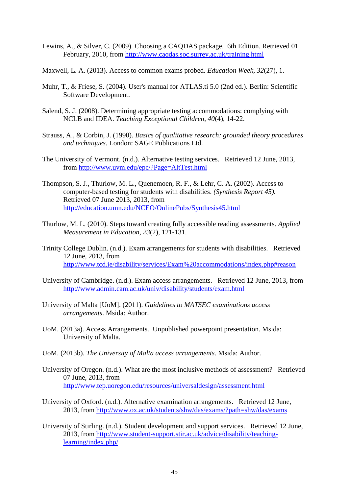- Lewins, A., & Silver, C. (2009). Choosing a CAQDAS package. 6th Edition. Retrieved 01 February, 2010, from<http://www.caqdas.soc.surrey.ac.uk/training.html>
- Maxwell, L. A. (2013). Access to common exams probed. *Education Week, 32*(27), 1.
- Muhr, T., & Friese, S. (2004). User's manual for ATLAS.ti 5.0 (2nd ed.). Berlin: Scientific Software Development.
- Salend, S. J. (2008). Determining appropriate testing accommodations: complying with NCLB and IDEA. *Teaching Exceptional Children, 40*(4), 14-22.
- Strauss, A., & Corbin, J. (1990). *Basics of qualitative research: grounded theory procedures and techniques*. London: SAGE Publications Ltd.
- The University of Vermont. (n.d.). Alternative testing services. Retrieved 12 June, 2013, from<http://www.uvm.edu/epc/?Page=AltTest.html>
- Thompson, S. J., Thurlow, M. L., Quenemoen, R. F., & Lehr, C. A. (2002). Access to computer-based testing for students with disabilities. *(Synthesis Report 45).* Retrieved 07 June 2013, 2013, from <http://education.umn.edu/NCEO/OnlinePubs/Synthesis45.html>
- Thurlow, M. L. (2010). Steps toward creating fully accessible reading assessments. *Applied Measurement in Education, 23*(2), 121-131.
- Trinity College Dublin. (n.d.). Exam arrangements for students with disabilities. Retrieved 12 June, 2013, from <http://www.tcd.ie/disability/services/Exam%20accommodations/index.php#reason>
- University of Cambridge. (n.d.). Exam access arrangements. Retrieved 12 June, 2013, from <http://www.admin.cam.ac.uk/univ/disability/students/exam.html>
- University of Malta [UoM]. (2011). *Guidelines to MATSEC examinations access arrangements*. Msida: Author.
- UoM. (2013a). Access Arrangements. Unpublished powerpoint presentation. Msida: University of Malta.
- UoM. (2013b). *The University of Malta access arrangements*. Msida: Author.
- University of Oregon. (n.d.). What are the most inclusive methods of assessment? Retrieved 07 June, 2013, from <http://www.tep.uoregon.edu/resources/universaldesign/assessment.html>
- University of Oxford. (n.d.). Alternative examination arrangements. Retrieved 12 June, 2013, from<http://www.ox.ac.uk/students/shw/das/exams/?path=shw/das/exams>
- University of Stirling. (n.d.). Student development and support services. Retrieved 12 June, 2013, from [http://www.student-support.stir.ac.uk/advice/disability/teaching](http://www.student-support.stir.ac.uk/advice/disability/teaching-learning/index.php/)[learning/index.php/](http://www.student-support.stir.ac.uk/advice/disability/teaching-learning/index.php/)